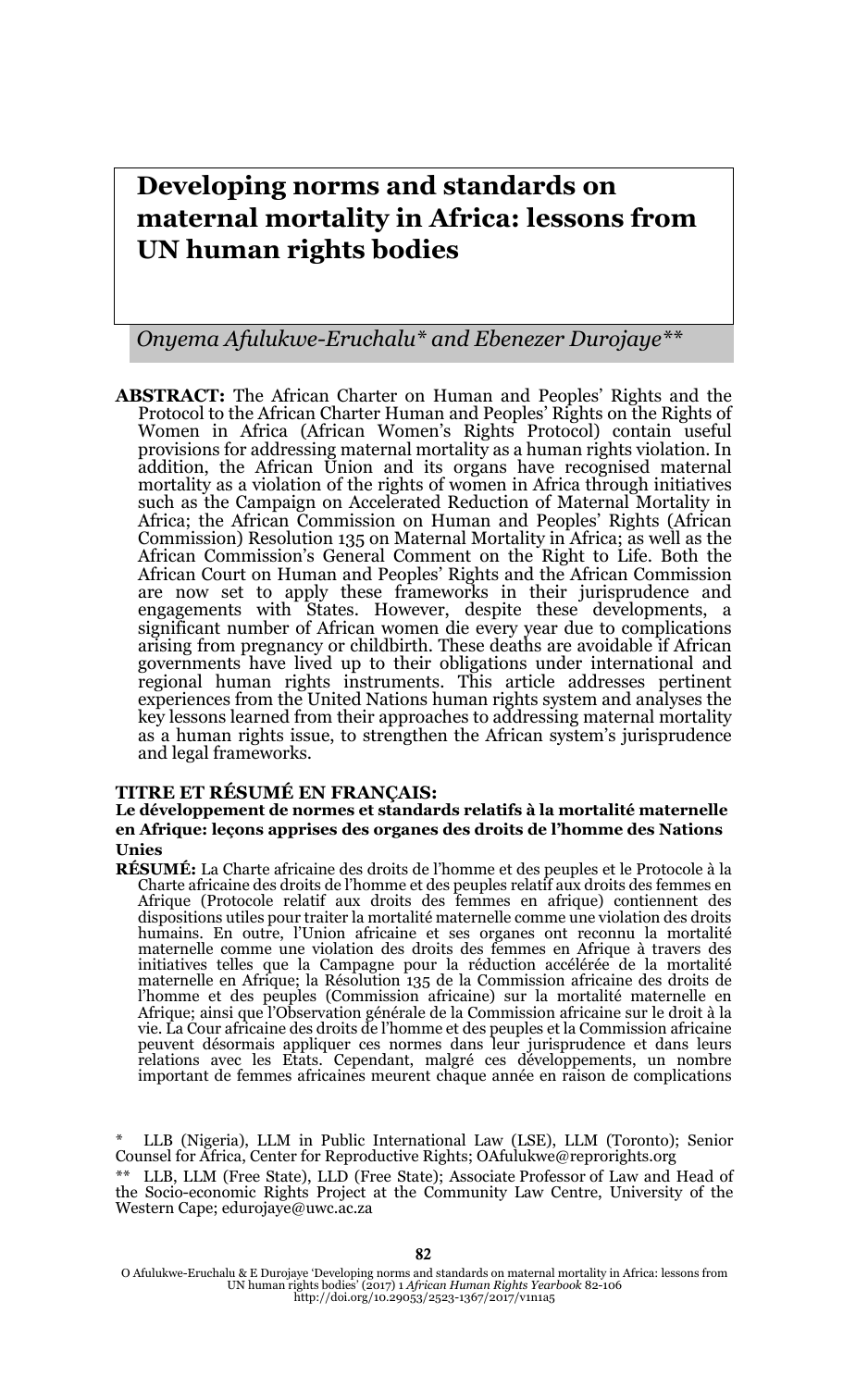# **Developing norms and standards on maternal mortality in Africa: lessons from UN human rights bodies**

#### *Onyema Afulukwe-Eruchalu\* and Ebenezer Durojaye\*\**

**ABSTRACT:** The African Charter on Human and Peoples' Rights and the Protocol to the African Charter Human and Peoples' Rights on the Rights of Women in Africa (African Women's Rights Protocol) contain useful provisions for addressing maternal mortality as a human rights violation. In addition, the African Union and its organs have recognised maternal mortality as a violation of the rights of women in Africa through initiatives such as the Campaign on Accelerated Reduction of Maternal Mortality in Africa; the African Commission on Human and Peoples' Rights (African Commission) Resolution 135 on Maternal Mortality in Africa; as well as the African Commission's General Comment on the Right to Life. Both the African Court on Human and Peoples' Rights and the African Commission are now set to apply these frameworks in their jurisprudence and engagements with States. However, despite these developments, a significant number of African women die every year due to complications arising from pregnancy or childbirth. These deaths are avoidable if African governments have lived up to their obligations under international and regional human rights instruments. This article addresses pertinent experiences from the United Nations human rights system and analyses the key lessons learned from their approaches to addressing maternal mortality as a human rights issue, to strengthen the African system's jurisprudence and legal frameworks.

#### **TITRE ET RÉSUMÉ EN FRANÇAIS:**

#### **Le développement de normes et standards relatifs à la mortalité maternelle en Afrique: leçons apprises des organes des droits de l'homme des Nations Unies**

**RÉSUMÉ:** La Charte africaine des droits de l'homme et des peuples et le Protocole à la Charte africaine des droits de l'homme et des peuples relatif aux droits des femmes en Afrique (Protocole relatif aux droits des femmes en afrique) contiennent des dispositions utiles pour traiter la mortalité maternelle comme une violation des droits humains. En outre, l'Union africaine et ses organes ont reconnu la mortalité maternelle comme une violation des droits des femmes en Afrique à travers des initiatives telles que la Campagne pour la réduction accélérée de la mortalité<br>maternelle en Afrique; la Résolution 135 de la Commission africaine des droits de<br>l'homme et des peuples (Commission africaine) sur la mortalit Afrique; ainsi que l'Observation générale de la Commission africaine sur le droit à la<br>vie. La Cour africaine des droits de l'homme et des peuples et la Commission africaine<br>peuvent désormais appliquer ces normes dans relations avec les Etats. Cependant, malgré ces développements, un nombre important de femmes africaines meurent chaque année en raison de complications

<sup>\*</sup> LLB (Nigeria), LLM in Public International Law (LSE), LLM (Toronto); Senior Counsel for Africa, Center for Reproductive Rights; OAfulukwe@reprorights.org

<sup>\*\*</sup> LLB, LLM (Free State), LLD (Free State); Associate Professor of Law and Head of the Socio-economic Rights Project at the Community Law Centre, University of the Western Cape; edurojaye@uwc.ac.za

O Afulukwe-Eruchalu & E Durojaye 'Developing norms and standards on maternal mortality in Africa: lessons from UN human rights bodies' (2017) 1 *African Human Rights Yearbook* 82-106 http://doi.org/10.29053/2523-1367/2017/v1n1a5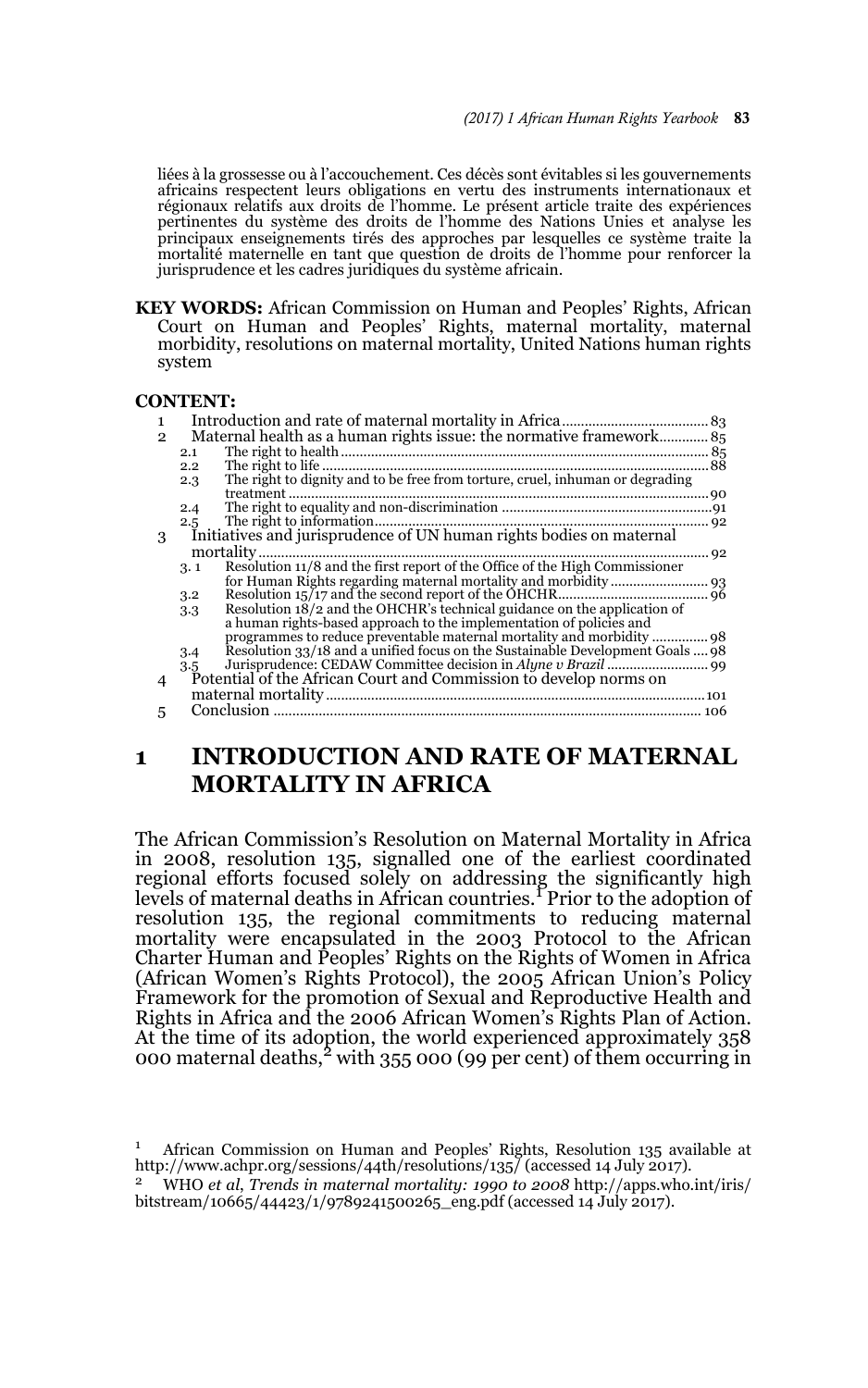liées à la grossesse ou à l'accouchement. Ces décès sont évitables si les gouvernements africains respectent leurs obligations en vertu des instruments internationaux et régionaux relatifs aux droits de l'homme. Le présent article traite des expériences pertinentes du système des droits de l'homme des Nations Unies et analyse les principaux enseignements tirés des approches par lesquelles ce système traite la mortalité maternelle en tant que question de droits de l'homme pour renforcer la jurisprudence et les cadres juridiques du système africain.

**KEY WORDS:** African Commission on Human and Peoples' Rights, African Court on Human and Peoples' Rights, maternal mortality, maternal morbidity, resolutions on maternal mortality, United Nations human rights system

#### **CONTENT:**

| 1.             |                                                                     |                                                                               |  |
|----------------|---------------------------------------------------------------------|-------------------------------------------------------------------------------|--|
| $\overline{2}$ |                                                                     |                                                                               |  |
|                | 2.1                                                                 |                                                                               |  |
|                | $2.2^{\circ}$                                                       |                                                                               |  |
|                | 2.3                                                                 | The right to dignity and to be free from torture, cruel, inhuman or degrading |  |
|                |                                                                     |                                                                               |  |
|                | 2.4                                                                 |                                                                               |  |
|                | 2.5                                                                 |                                                                               |  |
| 3              | Initiatives and jurisprudence of UN human rights bodies on maternal |                                                                               |  |
|                | 92                                                                  |                                                                               |  |
|                | 3.1                                                                 | Resolution 11/8 and the first report of the Office of the High Commissioner   |  |
|                |                                                                     |                                                                               |  |
|                | 3.2                                                                 |                                                                               |  |
|                | 3.3                                                                 | Resolution 18/2 and the OHCHR's technical guidance on the application of      |  |
|                |                                                                     | a human rights-based approach to the implementation of policies and           |  |
|                |                                                                     |                                                                               |  |
|                | 3.4                                                                 | Resolution 33/18 and a unified focus on the Sustainable Development Goals  98 |  |
|                | 3.5                                                                 |                                                                               |  |
| 4              |                                                                     | Potential of the African Court and Commission to develop norms on             |  |
|                |                                                                     |                                                                               |  |
| 5              |                                                                     |                                                                               |  |
|                |                                                                     |                                                                               |  |

# **1 INTRODUCTION AND RATE OF MATERNAL MORTALITY IN AFRICA**

The African Commission's Resolution on Maternal Mortality in Africa in 2008, resolution 135, signalled one of the earliest coordinated regional efforts focused solely on addressing the significantly high<br>levels of maternal deaths in African countries. Prior to the adoption of resolution 135, the regional commitments to reducing maternal mortality were encapsulated in the 2003 Protocol to the African Charter Human and Peoples' Rights on the Rights of Women in Africa (African Women's Rights Protocol), the 2005 African Union's Policy Framework for the promotion of Sexual and Reproductive Health and Rights in Africa and the 2006 African Women's Rights Plan of Action. At the time of its adoption, the world experienced approximately 358 000 maternal deaths,<sup>2</sup> with 355 000 (99 per cent) of them occurring in

<sup>1</sup> African Commission on Human and Peoples' Rights, Resolution 135 available at http://www.achpr.org/sessions/44th/resolutions/135/ (accessed 14 July 2017).

<sup>2</sup> WHO *et al*, *Trends in maternal mortality: 1990 to 2008* http://apps.who.int/iris/ bitstream/10665/44423/1/9789241500265\_eng.pdf (accessed 14 July 2017).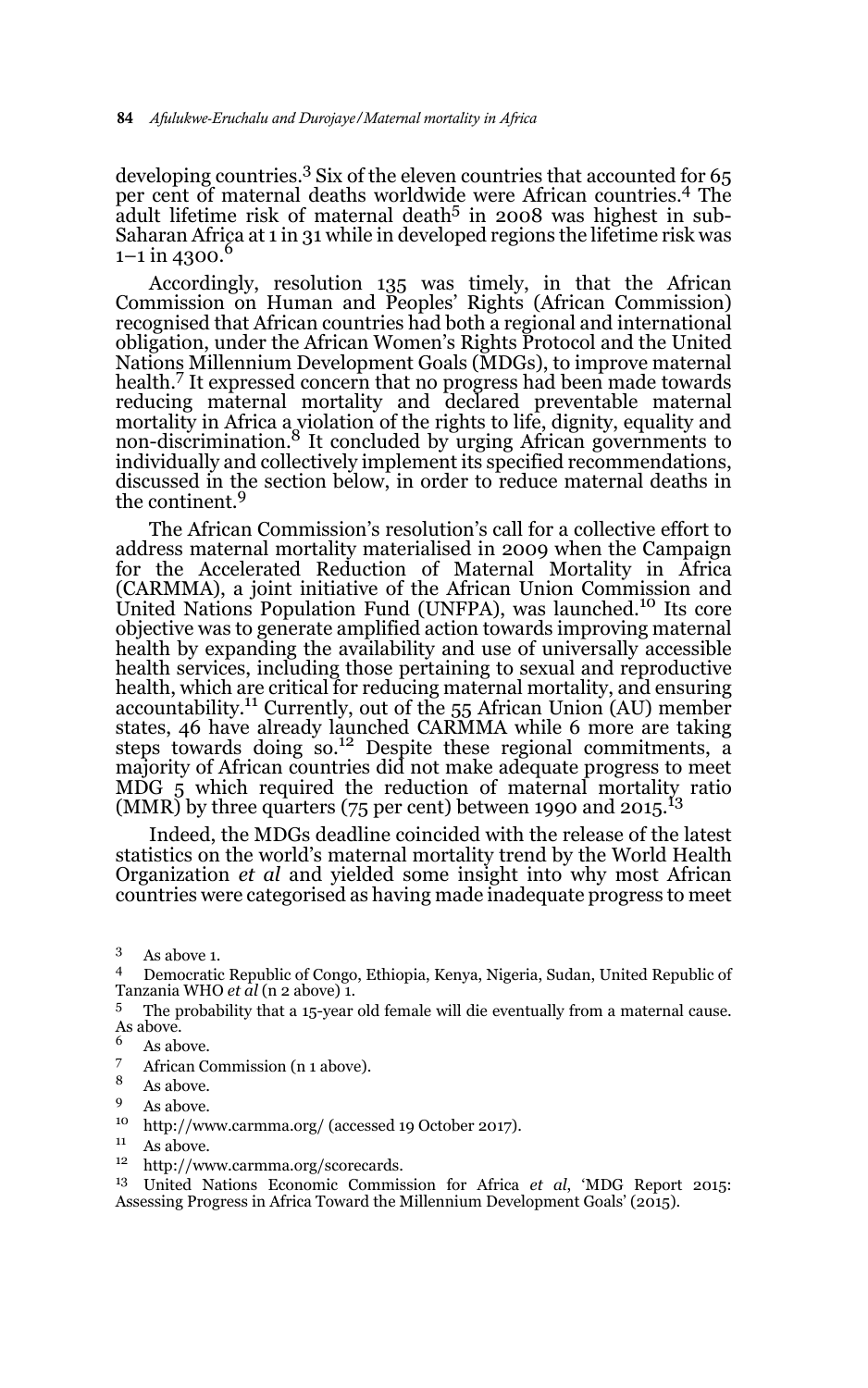developing countries.<sup>3</sup> Six of the eleven countries that accounted for 65 per cent of maternal deaths worldwide were African countries.4 The adult lifetime risk of maternal death<sup>5</sup> in 2008 was highest in sub-Saharan Africa at 1 in 31 while in developed regions the lifetime risk was  $1-1$  in 4300.<sup>6</sup>

Accordingly, resolution 135 was timely, in that the African Commission on Human and Peoples' Rights (African Commission) recognised that African countries had both a regional and international obligation, under the African Women's Rights Protocol and the United Nations Millennium Development Goals (MDGs), to improve maternal health.<sup>7</sup> It expressed concern that no progress had been made towards reducing maternal mortality and declared preventable maternal mortality in Africa a violation of the rights to life, dignity, equality and<br>non-discrimination.<sup>8</sup> It concluded by urging African governments to individually and collectively implement its specified recommendations, discussed in the section below, in order to reduce maternal deaths in the continent.<sup>9</sup>

The African Commission's resolution's call for a collective effort to address maternal mortality materialised in 2009 when the Campaign for the Accelerated Reduction of Maternal Mortality in Africa (CARMMA), a joint initiative of the African Union Commission and United Nations Population Fund (UNFPA), was launched.10 Its core objective was to generate amplified action towards improving maternal health by expanding the availability and use of universally accessible health services, including those pertaining to sexual and reproductive health, which are critical for reducing maternal mortality, and ensuring accountability.<sup>11</sup> Currently, out of the 55 African Union (AU) member states, 46 have already launched CARMMA while 6 more are taking steps towards doing so.<sup>12</sup> Despite these regional commitments, a majority of African countries did not make adequate progress to meet  $M\ddot{D}G$  5 which required the reduction of maternal mortality ratio (MMR) by three quarters (75 per cent) between 1990 and 2015.<sup>13</sup>

Indeed, the MDGs deadline coincided with the release of the latest statistics on the world's maternal mortality trend by the World Health Organization *et al* and yielded some insight into why most African countries were categorised as having made inadequate progress to meet

- $\frac{6}{7}$  As above.
- $\frac{7}{8}$  African Commission (n 1 above).
- $\frac{8}{9}$  As above.
- $\frac{9}{10}$  As above.
- <sup>10</sup> http://www.carmma.org/ (accessed 19 October 2017).
- <sup>11</sup> As above.
- http://www.carmma.org/scorecards.

<sup>13</sup> United Nations Economic Commission for Africa *et al*, 'MDG Report 2015: Assessing Progress in Africa Toward the Millennium Development Goals' (2015).

<sup>3</sup> As above 1.

 $^4$  Democratic Republic of Congo, Ethiopia, Kenya, Nigeria, Sudan, United Republic of Tanzania WHO et al (n  $\,$  above)  $\,$  1.

The probability that a 15-year old female will die eventually from a maternal cause. As above.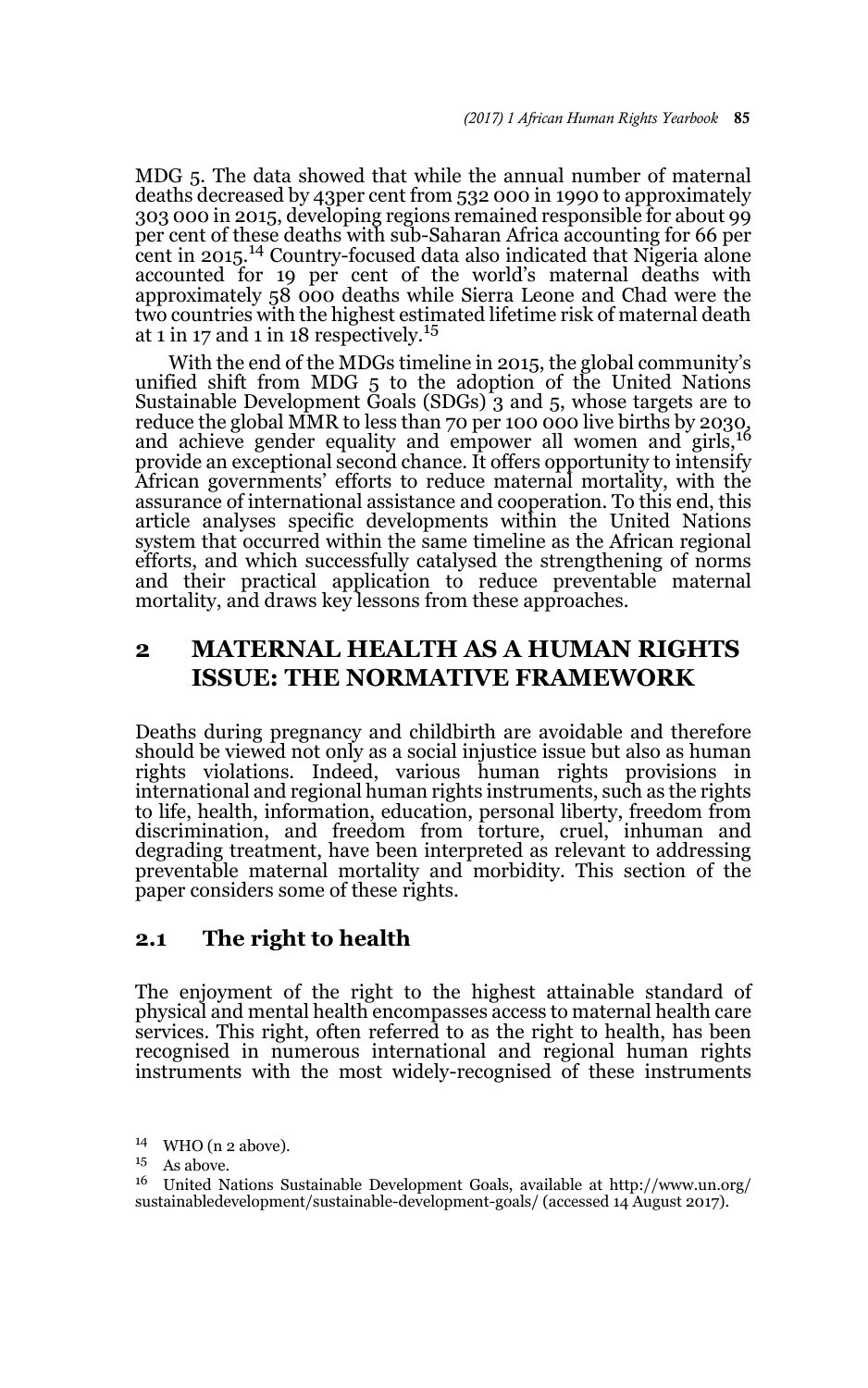MDG 5. The data showed that while the annual number of maternal deaths decreased by 43per cent from 532 000 in 1990 to approximately 303 000 in 2015, developing regions remained responsible for about 99 per cent of these deaths with sub-Saharan Africa accounting for 66 per cent in 2015.14 Country-focused data also indicated that Nigeria alone accounted for 19 per cent of the world's maternal deaths with approximately  $58$  000 deaths while Sierra Leone and Chad were the two countries with the highest estimated lifetime risk of maternal death at 1 in 17 and 1 in 18 respectively.<sup>15</sup>

With the end of the MDGs timeline in 2015, the global community's unified shift from MDG 5 to the adoption of the United Nations Sustainable Development Goals (SDGs) 3 and 5, whose targets are to reduce the global MMR to less than 70 per 100 000 live births by 2030,<br>and achieve gender equality and empower all women and girls,<sup>16</sup> provide an exceptional second chance. It offers opportunity to intensify African governments' efforts to reduce maternal mortality, with the assurance of international assistance and cooperation. To this end, this article analyses specific developments within the United Nations system that occurred within the same timeline as the African regional efforts, and which successfully catalysed the strengthening of norms and their practical application to reduce preventable maternal mortality, and draws key lessons from these approaches.

## **2 MATERNAL HEALTH AS A HUMAN RIGHTS ISSUE: THE NORMATIVE FRAMEWORK**

Deaths during pregnancy and childbirth are avoidable and therefore should be viewed not only as a social injustice issue but also as human rights violations. Indeed, various human rights provisions in international and regional human rights instruments, such as the rights to life, health, information, education, personal liberty, freedom from discrimination, and freedom from torture, cruel, inhuman and degrading treatment, have been interpreted as relevant to addressing preventable maternal mortality and morbidity. This section of the paper considers some of these rights.

### **2.1 The right to health**

The enjoyment of the right to the highest attainable standard of physical and mental health encompasses access to maternal health care services. This right, often referred to as the right to health, has been recognised in numerous international and regional human rights instruments with the most widely-recognised of these instruments

<sup>14</sup> WHO (n 2 above).

 $^{15}$  As above.<br> $^{16}$  United N

<sup>16</sup> United Nations Sustainable Development Goals, available at http://www.un.org/ sustainabledevelopment/sustainable-development-goals/ (accessed 14 August 2017).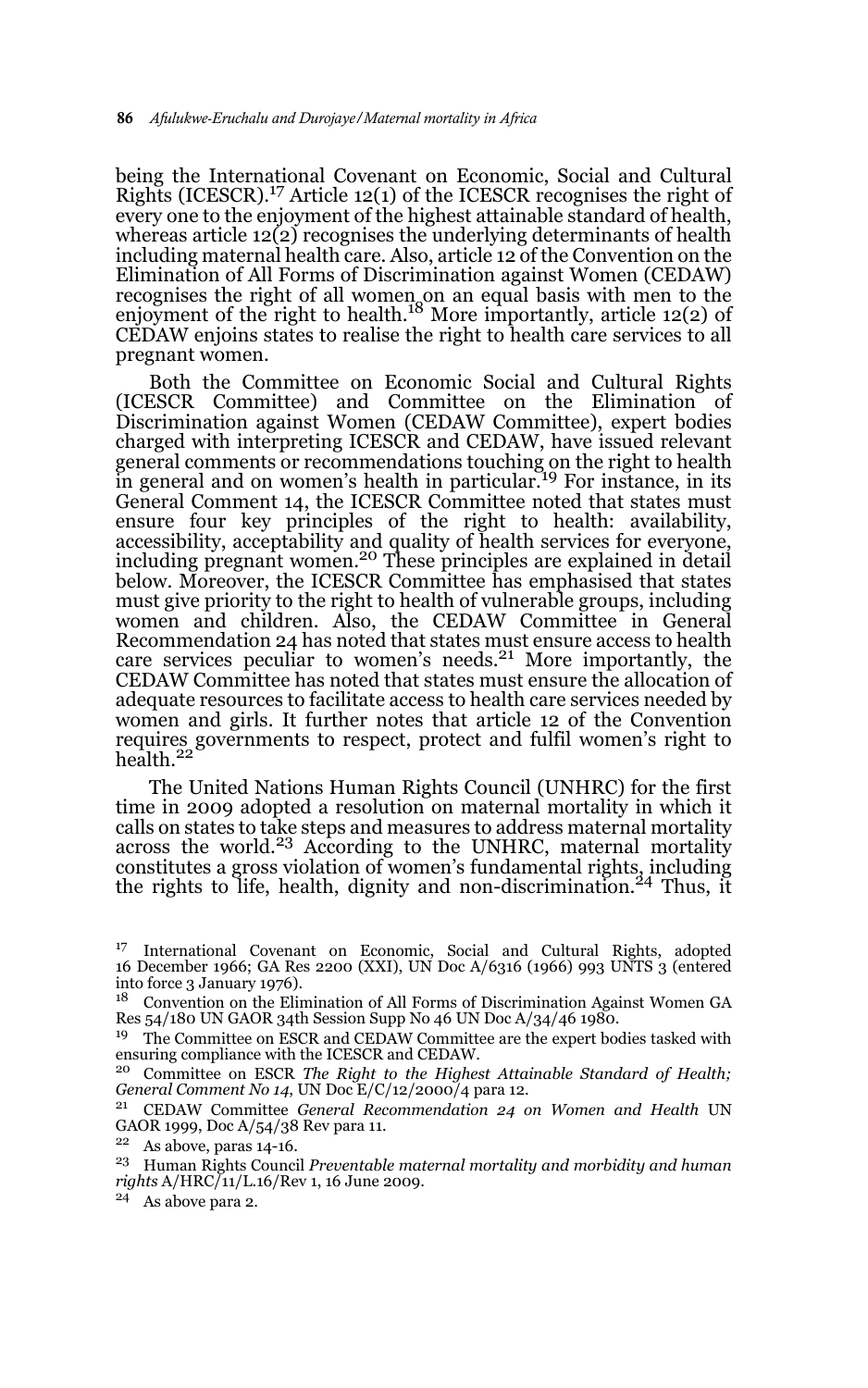being the International Covenant on Economic, Social and Cultural Rights (ICESCR).<sup>17</sup> Article 12(1) of the ICESCR recognises the right of every one to the enjoyment of the highest attainable standard of health, whereas article 12(2) recognises the underlying determinants of health including maternal health care. Also, article 12 of the Convention on the Elimination of All Forms of Discrimination against Women (CEDAW) recognises the right of all women on an equal basis with men to the<br>enjoyment of the right to health.<sup>18</sup> More importantly, article 12(2) of CEDAW enjoins states to realise the right to health care services to all pregnant women.

Both the Committee on Economic Social and Cultural Rights (ICESCR Committee) and Committee on the Elimination of Discrimination against Women (CEDAW Committee), expert bodies charged with interpreting ICESCR and CEDAW, have issued relevant general comments or recommendations touching on the right to health<br>in general and on women's health in particular.<sup>19</sup> For instance, in its General Comment 14, the ICESCR Committee noted that states must ensure four key principles of the right to health: availability, accessibility, acceptability and quality of health services for everyone, including pregnant women.<sup>20</sup> These principles are explained in detail below. Moreover, the ICESCR Committee has emphasised that states must give priority to the right to health of vulnerable groups, including women and children. Also, the CEDAW Committee in General Recommendation 24 has noted that states must ensure access to health care services peculiar to women's needs.<sup>21</sup> More importantly, the CEDAW Committee has noted that states must ensure the allocation of adequate resources to facilitate access to health care services needed by women and girls. It further notes that article 12 of the Convention requires governments to respect, protect and fulfil women's right to health.22

The United Nations Human Rights Council (UNHRC) for the first time in 2009 adopted a resolution on maternal mortality in which it calls on states to take steps and measures to address maternal mortality across the world.<sup>23</sup> According to the UNHRC, maternal mortality constitutes a gross violation of women's fundamental rights, including the rights to life, health, dignity and non-discrimination.<sup>24</sup> Thus, it

<sup>19</sup> The Committee on ESCR and CEDAW Committee are the expert bodies tasked with ensuring compliance with the ICESCR and CEDAW.

<sup>20</sup> Committee on ESCR *The Right to the Highest Attainable Standard of Health; General Comment No 14*, UN Doc E/C/12/2000/4 para 12.

<sup>21</sup> CEDAW Committee *General Recommendation 24 on Women and Health* UN GAOR 1999, Doc A/54/38 Rev para 11.

<sup>23</sup> Human Rights Council *Preventable maternal mortality and morbidity and human rights* A/HRC/11/L.16/Rev 1, 16 June 2009.

 $24$  As above para 2.

<sup>&</sup>lt;sup>17</sup> International Covenant on Economic, Social and Cultural Rights, adopted 16 December 1966; GA Res 2200 (XXI), UN Doc A/6316 (1966) 993 UNTS 3 (entered into force 3 January 1976).

<sup>18</sup> Convention on the Elimination of All Forms of Discrimination Against Women GA Res 54/180 UN GAOR 34th Session Supp No 46 UN Doc A/34/46 1980.

 $22$  As above, paras 14-16.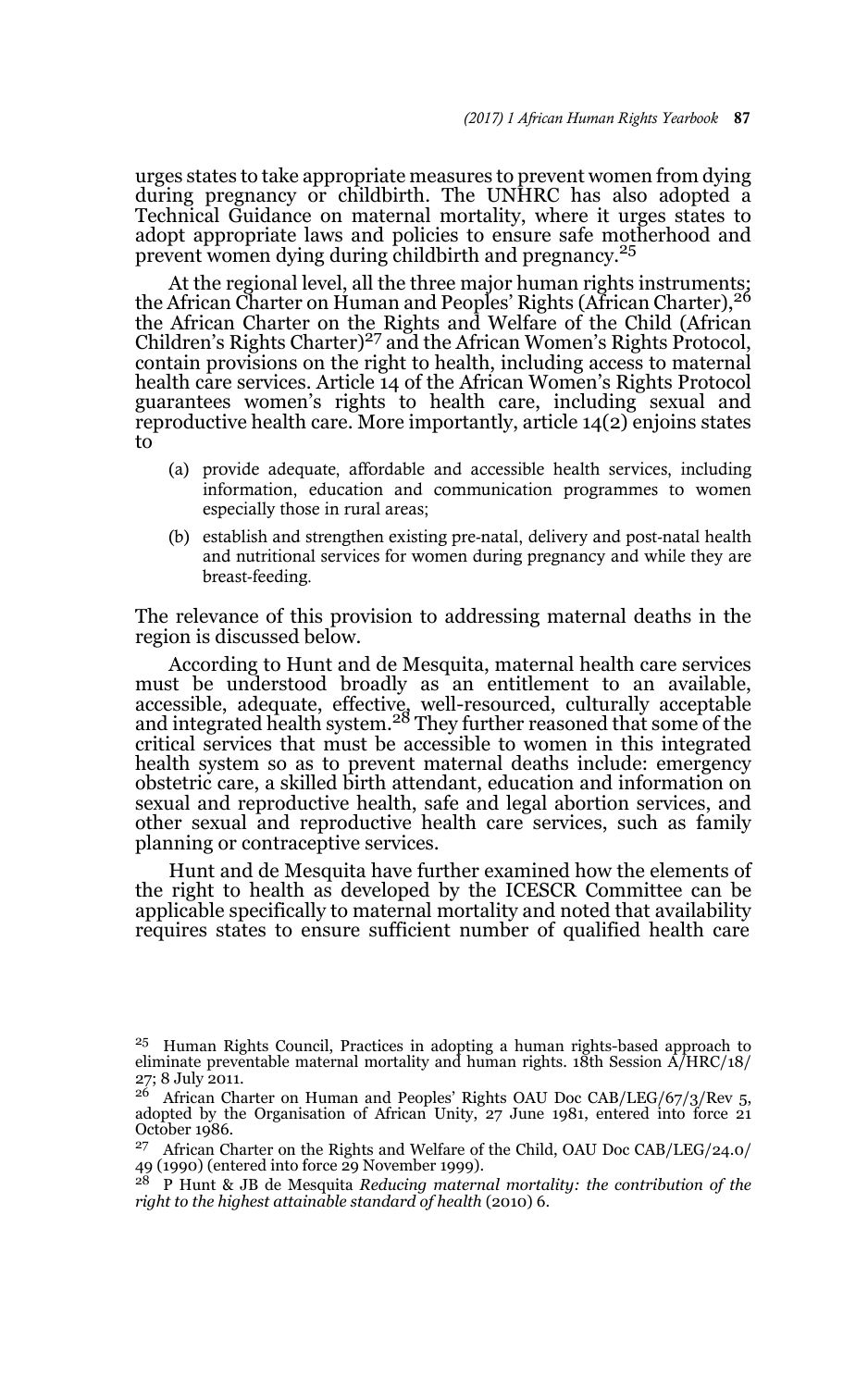urges states to take appropriate measures to prevent women from dying during pregnancy or childbirth. The UNHRC has also adopted a Technical Guidance on maternal mortality, where it urges states to adopt appropriate laws and policies to ensure safe motherhood and prevent women dying during childbirth and pregnancy.<sup>25</sup>

At the regional level, all the three major human rights instruments;<br>the African Charter on Human and Peoples' Rights (African Charter),<sup>26</sup> the African Charter on the Rights and Welfare of the Child (African<br>Children's Rights Charter)<sup>27</sup> and the African Women's Rights Protocol, contain provisions on the right to health, including access to maternal health care services. Article 14 of the African Women's Rights Protocol guarantees women's rights to health care, including sexual and reproductive health care. More importantly, article 14(2) enjoins states to

- (a) provide adequate, affordable and accessible health services, including information, education and communication programmes to women especially those in rural areas;
- (b) establish and strengthen existing pre-natal, delivery and post-natal health and nutritional services for women during pregnancy and while they are breast-feeding.

The relevance of this provision to addressing maternal deaths in the region is discussed below.

According to Hunt and de Mesquita, maternal health care services must be understood broadly as an entitlement to an available, accessible, adequate, effective, well-resourced, culturally acceptable<br>and integrated health system.<sup>28</sup> They further reasoned that some of the critical services that must be accessible to women in this integrated health system so as to prevent maternal deaths include: emergency obstetric care, a skilled birth attendant, education and information on sexual and reproductive health, safe and legal abortion services, and other sexual and reproductive health care services, such as family planning or contraceptive services.

Hunt and de Mesquita have further examined how the elements of the right to health as developed by the ICESCR Committee can be applicable specifically to maternal mortality and noted that availability requires states to ensure sufficient number of qualified health care

<sup>25</sup> Human Rights Council, Practices in adopting a human rights-based approach to eliminate preventable maternal mortality and human rights. 18th Session  $\hat{A}/HRC/18/$ 27; 8 July 2011.

 $^{26}$  African Charter on Human and Peoples' Rights OAU Doc CAB/LEG/67/3/Rev 5, adopted by the Organisation of African Unity, 27 June 1981, entered into force 21 October 1986.

 $^{27}$  African Charter on the Rights and Welfare of the Child, OAU Doc CAB/LEG/24.0/  $\,$ 49 (1990) (entered into force 29 November 1999).

<sup>28</sup> P Hunt & JB de Mesquita *Reducing maternal mortality: the contribution of the right to the highest attainable standard of health* (2010) 6.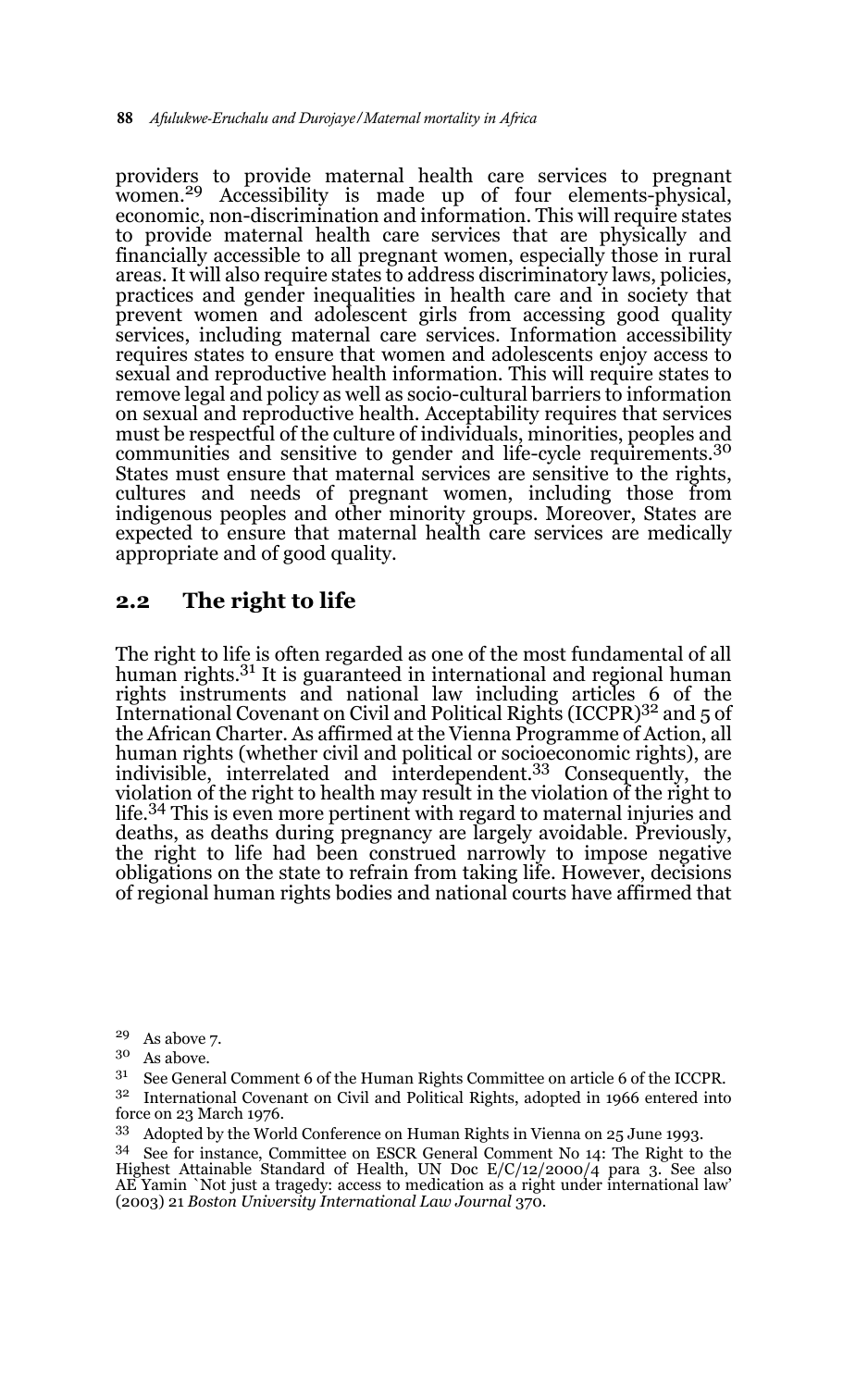providers to provide maternal health care services to pregnant women.29 Accessibility is made up of four elements-physical, economic, non-discrimination and information. This will require states to provide maternal health care services that are physically and financially accessible to all pregnant women, especially those in rural areas. It will also require states to address discriminatory laws, policies, practices and gender inequalities in health care and in society that prevent women and adolescent girls from accessing good quality services, including maternal care services. Information accessibility requires states to ensure that women and adolescents enjoy access to sexual and reproductive health information. This will require states to remove legal and policy as well as socio-cultural barriers to information on sexual and reproductive health. Acceptability requires that services must be respectful of the culture of individuals, minorities, peoples and communities and sensitive to gender and life-cycle requirements.<sup>30</sup> States must ensure that maternal services are sensitive to the rights, cultures and needs of pregnant women, including those from indigenous peoples and other minority groups. Moreover, States are expected to ensure that maternal health care services are medically appropriate and of good quality.

### **2.2 The right to life**

The right to life is often regarded as one of the most fundamental of all human rights.<sup>31</sup> It is guaranteed in international and regional human rights instruments and national law including articles 6 of the<br>International Covenant on Civil and Political Rights (ICCPR)<sup>32</sup> and 5 of the African Charter. As affirmed at the Vienna Programme of Action, all human rights (whether civil and political or socioeconomic rights), are indivisible, interrelated and interdependent.<sup>33</sup> Consequently, the violation of the right to health may result in the violation of the right to life.34 This is even more pertinent with regard to maternal injuries and deaths, as deaths during pregnancy are largely avoidable. Previously, the right to life had been construed narrowly to impose negative obligations on the state to refrain from taking life. However, decisions of regional human rights bodies and national courts have affirmed that

 $29$  As above 7.

 $30$  As above.<br> $31$  See General

<sup>31</sup> See General Comment 6 of the Human Rights Committee on article 6 of the ICCPR.

<sup>32</sup> International Covenant on Civil and Political Rights, adopted in 1966 entered into force on 23 March 1976.

<sup>33</sup> Adopted by the World Conference on Human Rights in Vienna on 25 June 1993.

<sup>34</sup> See for instance, Committee on ESCR General Comment No 14: The Right to the Highest Attainable Standard of Health, UN Doc E/C/12/2000/4 para 3. See also AE Yamin `Not just a tragedy: access to medication as a right under international law' (2003) 21 *Boston University International Law Journal* 370.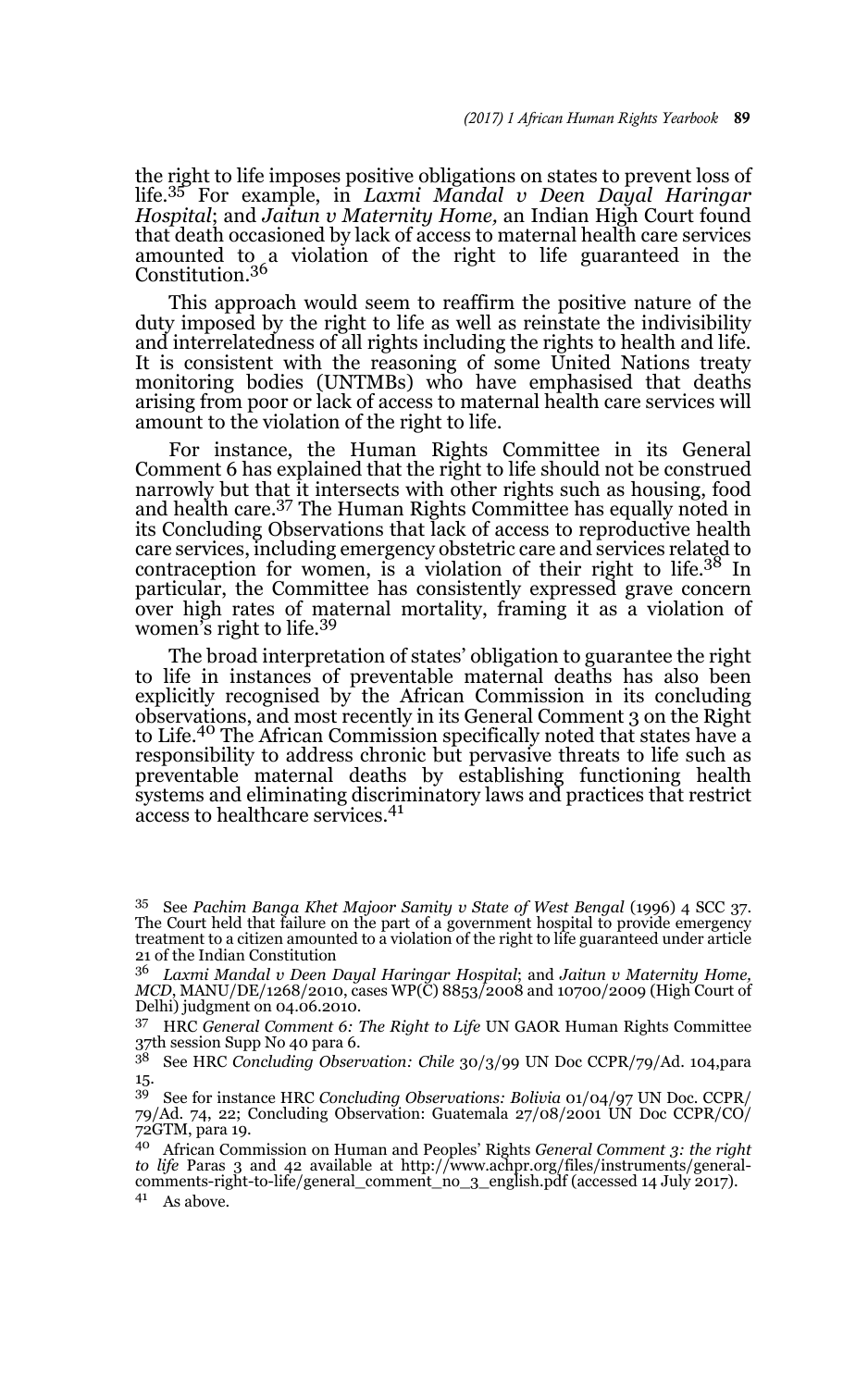the right to life imposes positive obligations on states to prevent loss of life.35 For example, in *Laxmi Mandal v Deen Dayal Haringar Hospital*; and *Jaitun v Maternity Home,* an Indian High Court found that death occasioned by lack of access to maternal health care services amounted to a violation of the right to life guaranteed in the<br>Constitution.<sup>36</sup>

This approach would seem to reaffirm the positive nature of the duty imposed by the right to life as well as reinstate the indivisibility and interrelatedness of all rights including the rights to health and life. It is consistent with the reasoning of some United Nations treaty monitoring bodies (UNTMBs) who have emphasised that deaths arising from poor or lack of access to maternal health care services will amount to the violation of the right to life.

For instance, the Human Rights Committee in its General Comment 6 has explained that the right to life should not be construed narrowly but that it intersects with other rights such as housing, food and health care.37 The Human Rights Committee has equally noted in its Concluding Observations that lack of access to reproductive health care services, including emergency obstetric care and services related to contraception for women, is a violation of their right to life.38 In particular, the Committee has consistently expressed grave concern over high rates of maternal mortality, framing it as a violation of women's right to life.<sup>39</sup>

The broad interpretation of states' obligation to guarantee the right to life in instances of preventable maternal deaths has also been explicitly recognised by the African Commission in its concluding observations, and most recently in its General Comment 3 on the Right to Life.40 The African Commission specifically noted that states have a responsibility to address chronic but pervasive threats to life such as preventable maternal deaths by establishing functioning health systems and eliminating discriminatory laws and practices that restrict access to healthcare services.<sup>41</sup>

<sup>35</sup> See *Pachim Banga Khet Majoor Samity v State of West Bengal* (1996) 4 SCC 37. The Court held that failure on the part of a government hospital to provide emergency treatment to a citizen amounted to a violation of the right to life guaranteed under article 21 of the Indian Constitution

<sup>36</sup> *Laxmi Mandal v Deen Dayal Haringar Hospital*; and *Jaitun v Maternity Home, MCD*, MANU/DE/1268/2010, cases WP(C) 8853/2008 and 10700/2009 (High Court of Delhi) judgment on 04.06.2010.

<sup>37</sup> HRC *General Comment 6: The Right to Life* UN GAOR Human Rights Committee 37th session Supp No 40 para 6.

<sup>38</sup> See HRC *Concluding Observation: Chile* 30/3/99 UN Doc CCPR/79/Ad. 104,para 15.

<sup>39</sup> See for instance HRC *Concluding Observations: Bolivia* 01/04/97 UN Doc. CCPR/ 79/Ad. 74, 22; Concluding Observation: Guatemala 27/08/2001 UN Doc CCPR/CO/ 72GTM, para 19.

<sup>40</sup> African Commission on Human and Peoples' Rights *General Comment 3: the right to life* Paras 3 and 42 available at http://www.achpr.org/files/instruments/general-comments-right-to-life/general\_comment\_no\_3\_english.pdf (accessed 14 July 2017).  $41$  As above.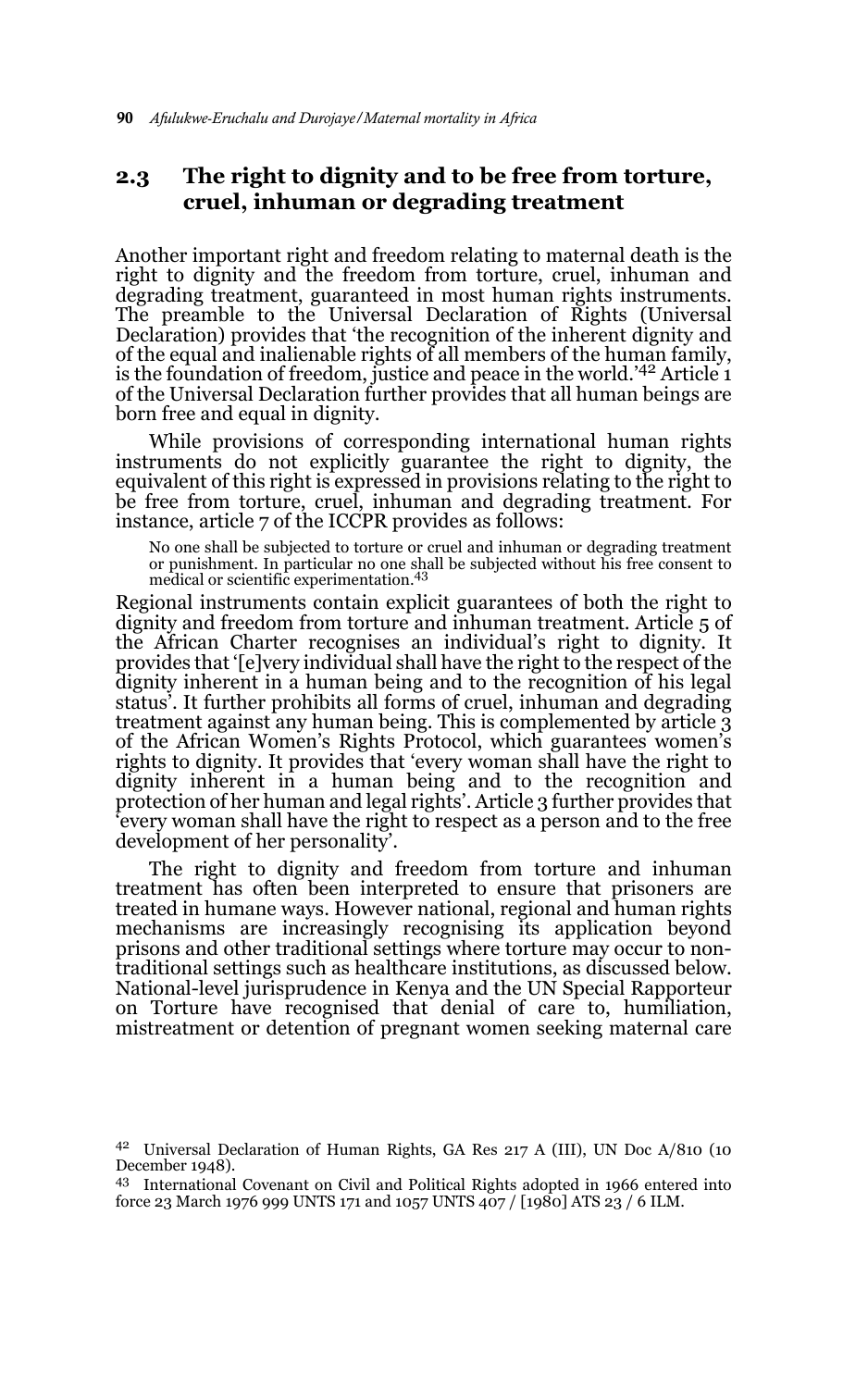## **2.3 The right to dignity and to be free from torture, cruel, inhuman or degrading treatment**

Another important right and freedom relating to maternal death is the right to dignity and the freedom from torture, cruel, inhuman and degrading treatment, guaranteed in most human rights instruments. The preamble to the Universal Declaration of Rights (Universal Declaration) provides that 'the recognition of the inherent dignity and of the equal and inalienable rights of all members of the human family, is the foundation of freedom, justice and peace in the world.'42 Article 1 of the Universal Declaration further provides that all human beings are born free and equal in dignity.

While provisions of corresponding international human rights instruments do not explicitly guarantee the right to dignity, the equivalent of this right is expressed in provisions relating to the right to be free from torture, cruel, inhuman and degrading treatment. For instance, article 7 of the ICCPR provides as follows:

No one shall be subjected to torture or cruel and inhuman or degrading treatment or punishment. In particular no one shall be subjected without his free consent to medical or scientific experimentation.<sup>43</sup>

Regional instruments contain explicit guarantees of both the right to dignity and freedom from torture and inhuman treatment. Article 5 of the African Charter recognises an individual's right to dignity. It provides that '[e]very individual shall have the right to the respect of the dignity inherent in a human being and to the recognition of his legal status'. It further prohibits all forms of cruel, inhuman and degrading treatment against any human being. This is complemented by article 3 of the African Women's Rights Protocol, which guarantees women's rights to dignity. It provides that 'every woman shall have the right to dignity inherent in a human being and to the recognition and protection of her human and legal rights'. Article 3 further provides that 'every woman shall have the right to respect as a person and to the free development of her personality'.

The right to dignity and freedom from torture and inhuman treatment has often been interpreted to ensure that prisoners are treated in humane ways. However national, regional and human rights mechanisms are increasingly recognising its application beyond prisons and other traditional settings where torture may occur to nontraditional settings such as healthcare institutions, as discussed below. National-level jurisprudence in Kenya and the UN Special Rapporteur on Torture have recognised that denial of care to, humiliation, mistreatment or detention of pregnant women seeking maternal care

<sup>42</sup> Universal Declaration of Human Rights, GA Res 217 A (III), UN Doc A/810 (10 December 1948).

<sup>43</sup> International Covenant on Civil and Political Rights adopted in 1966 entered into force 23 March 1976 999 UNTS 171 and 1057 UNTS 407 / [1980] ATS 23 / 6 ILM.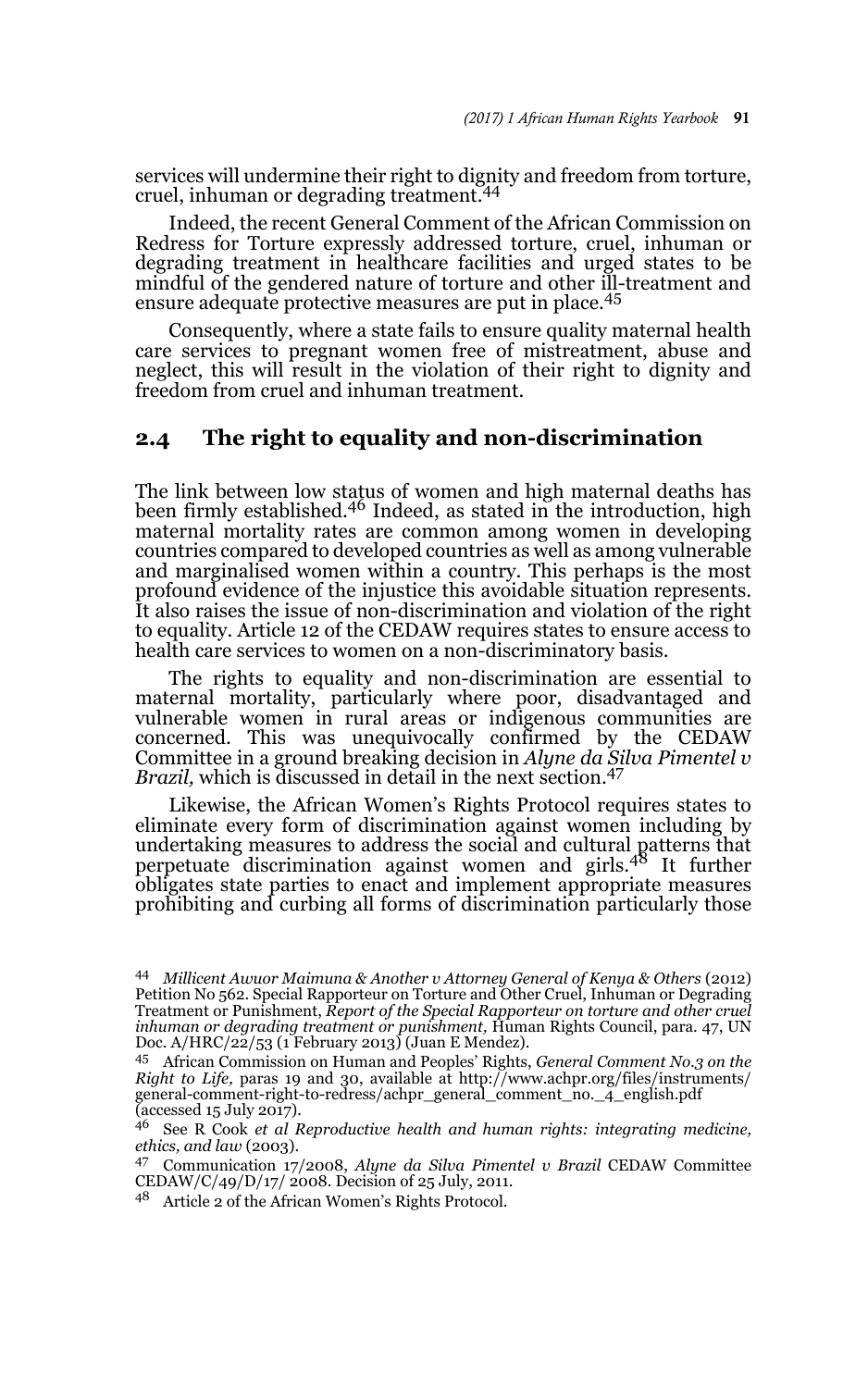services will undermine their right to dignity and freedom from torture, cruel, inhuman or degrading treatment.44

Indeed, the recent General Comment of the African Commission on Redress for Torture expressly addressed torture, cruel, inhuman or degrading treatment in healthcare facilities and urged states to be mindful of the gendered nature of torture and other ill-treatment and ensure adequate protective measures are put in place.<sup>45</sup>

Consequently, where a state fails to ensure quality maternal health care services to pregnant women free of mistreatment, abuse and neglect, this will result in the violation of their right to dignity and freedom from cruel and inhuman treatment.

### **2.4 The right to equality and non-discrimination**

The link between low status of women and high maternal deaths has been firmly established.<sup>46</sup> Indeed, as stated in the introduction, high maternal mortality rates are common among women in developing countries compared to developed countries as well as among vulnerable and marginalised women within a country. This perhaps is the most profound evidence of the injustice this avoidable situation represents. It also raises the issue of non-discrimination and violation of the right to equality. Article 12 of the CEDAW requires states to ensure access to health care services to women on a non-discriminatory basis.

The rights to equality and non-discrimination are essential to maternal mortality, particularly where poor, disadvantaged and vulnerable women in rural areas or indigenous communities are concerned. This was unequivocally confirmed by the CEDAW Committee in a ground breaking decision in *Alyne da Silva Pimentel v Brazil*, which is discussed in detail in the next section.<sup>47</sup>

Likewise, the African Women's Rights Protocol requires states to eliminate every form of discrimination against women including by undertaking measures to address the social and cultural patterns that perpetuate discrimination against women and girls.48 It further obligates state parties to enact and implement appropriate measures prohibiting and curbing all forms of discrimination particularly those

<sup>44</sup> *Millicent Awuor Maimuna & Another v Attorney General of Kenya & Others* (2012) Petition No 562. Special Rapporteur on Torture and Other Cruel, Inhuman or Degrading Treatment or Punishment, *Report of the Special Rapporteur on torture and other cruel inhuman or degrading treatment or punishment,* Ĥuman Rights Council, para. 47, UN<br>Doc. A/HRC/22/53 (1 February 2013) (Juan E Mendez).

<sup>45</sup> African Commission on Human and Peoples' Rights, *General Comment No.3 on the Right to Life,* paras 19 and 30, available at http://www.achpr.org/files/instruments/ general-comment-right-to-redress/achpr\_general\_comment\_no.\_4\_english.pdf  $(accessed 15 July 2017).$ 

<sup>46</sup> See R Cook *et al Reproductive health and human rights: integrating medicine, ethics, and law* (2003).

<sup>47</sup> Communication 17/2008, *Alyne da Silva Pimentel v Brazil* CEDAW Committee  $CEDAW/C/49/D/17/2008$ . Decision of  $25$  July, 2011.

<sup>48</sup> Article 2 of the African Women's Rights Protocol.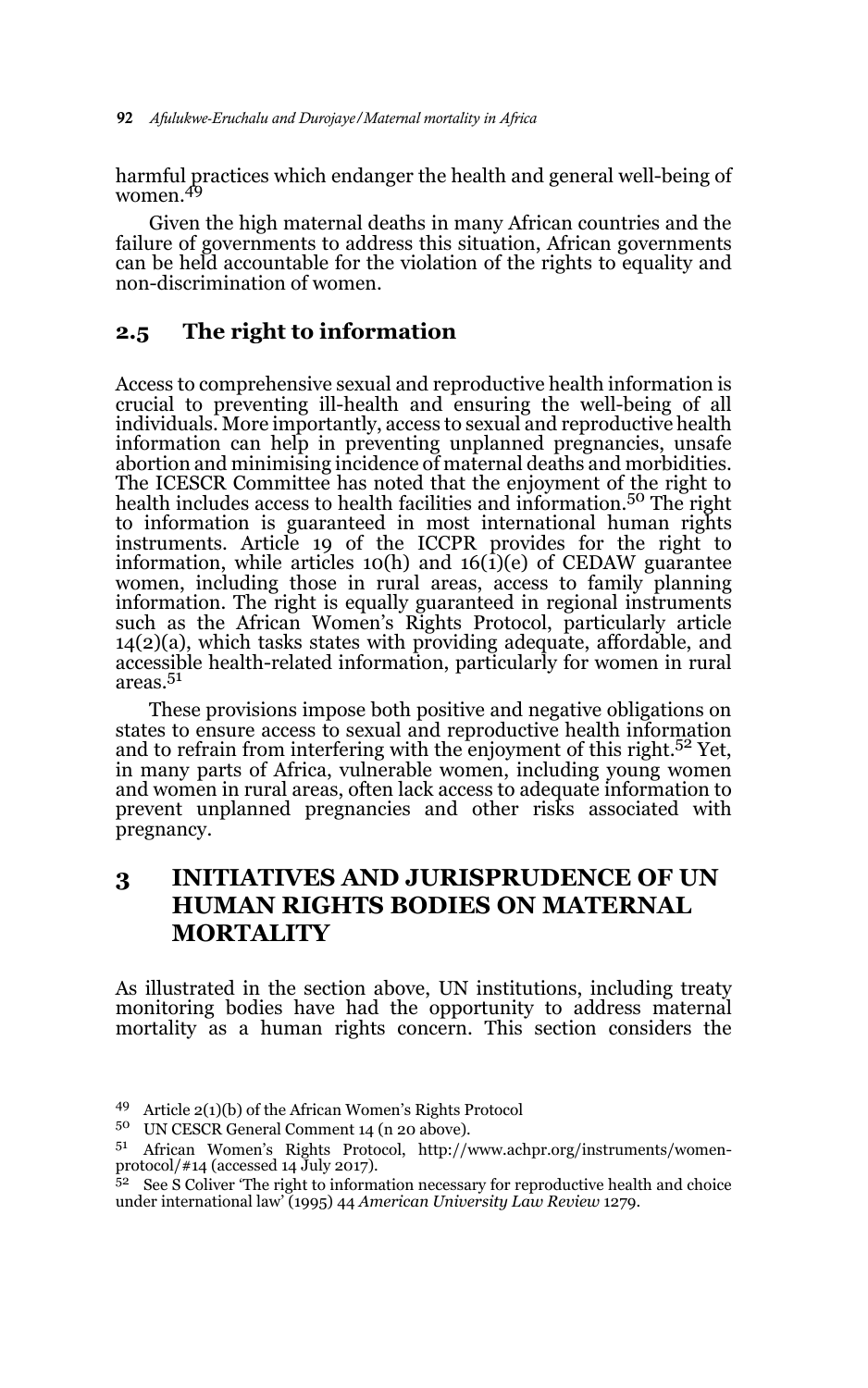harmful practices which endanger the health and general well-being of women.49

Given the high maternal deaths in many African countries and the failure of governments to address this situation, African governments can be held accountable for the violation of the rights to equality and non-discrimination of women.

### **2.5 The right to information**

Access to comprehensive sexual and reproductive health information is crucial to preventing ill-health and ensuring the well-being of all individuals. More importantly, access to sexual and reproductive health information can help in preventing unplanned pregnancies, unsafe abortion and minimising incidence of maternal deaths and morbidities. The ICESCR Committee has noted that the enjoyment of the right to health includes access to health facilities and information.50 The right to information is guaranteed in most international human rights instruments. Article 19 of the ICCPR provides for the right to information, while articles 10(h) and 16(1)(e) of CEDAW guarantee women, including those in rural areas, access to family planning information. The right is equally guaranteed in regional instruments such as the African Women's Rights Protocol, particularly article 14(2)(a), which tasks states with providing adequate, affordable, and accessible health-related information, particularly for women in rural areas.51

These provisions impose both positive and negative obligations on states to ensure access to sexual and reproductive health information and to refrain from interfering with the enjoyment of this right.<sup>52</sup> Yet, in many parts of Africa, vulnerable women, including young women and women in rural areas, often lack access to adequate information to prevent unplanned pregnancies and other risks associated with pregnancy.

# **3 INITIATIVES AND JURISPRUDENCE OF UN HUMAN RIGHTS BODIES ON MATERNAL MORTALITY**

As illustrated in the section above, UN institutions, including treaty monitoring bodies have had the opportunity to address maternal mortality as a human rights concern. This section considers the

<sup>49</sup> Article 2(1)(b) of the African Women's Rights Protocol

<sup>&</sup>lt;sup>50</sup> UN CESCR General Comment 14 (n 20 above).<br> $^{51}$  African Momon's Bights Brotocol, http://

African Women's Rights Protocol, http://www.achpr.org/instruments/womenprotocol/#14 (accessed 14 July 2017).

 $52$  See S Coliver 'The right to information necessary for reproductive health and choice under international law' (1995) 44 *American University Law Review* 1279.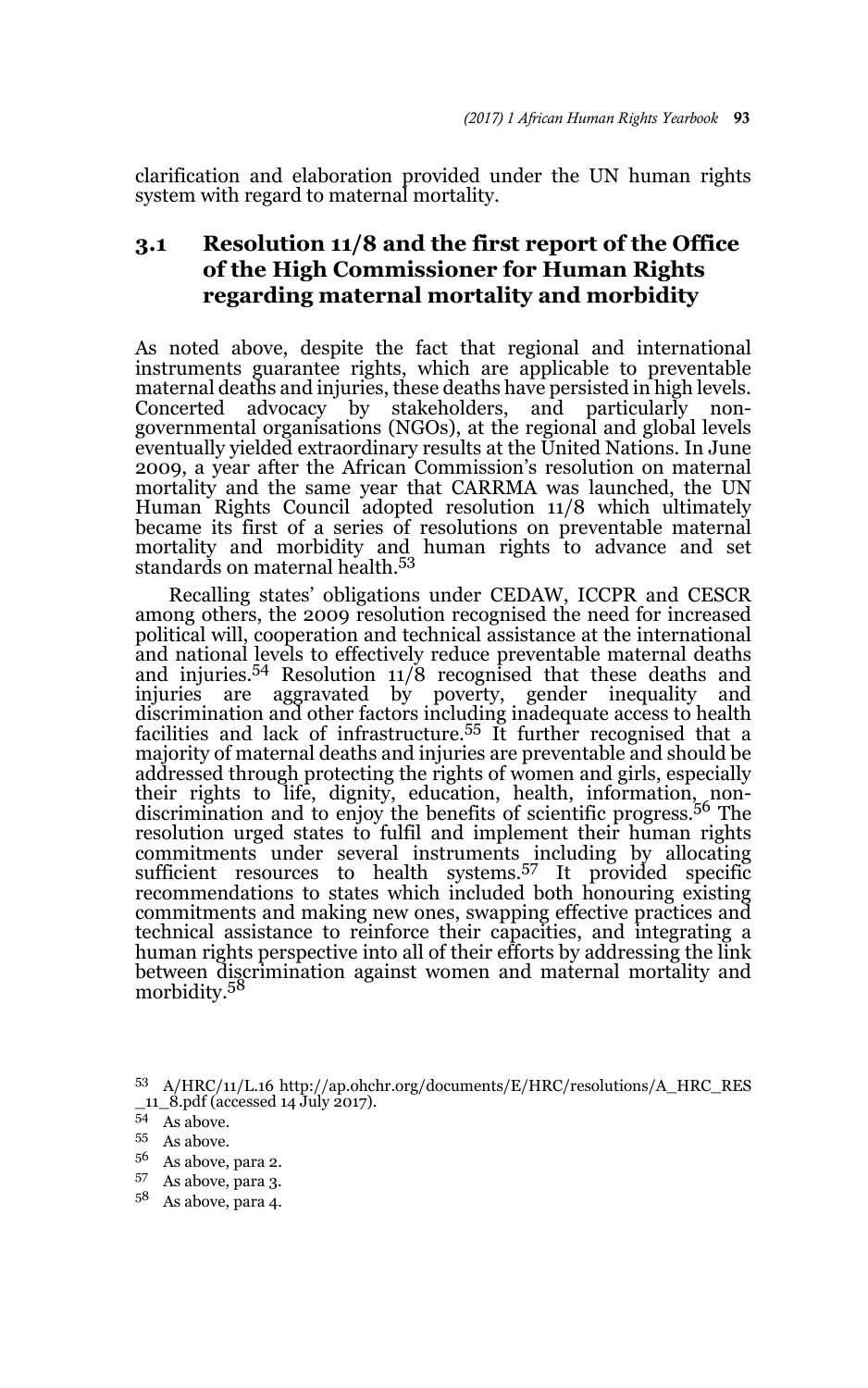clarification and elaboration provided under the UN human rights system with regard to maternal mortality.

## **3.1 Resolution 11/8 and the first report of the Office of the High Commissioner for Human Rights regarding maternal mortality and morbidity**

As noted above, despite the fact that regional and international instruments guarantee rights, which are applicable to preventable maternal deaths and injuries, these deaths have persisted in high levels. Concerted advocacy by stakeholders, and particularly nongovernmental organisations (NGOs), at the regional and global levels eventually yielded extraordinary results at the United Nations. In June 2009, a year after the African Commission's resolution on maternal mortality and the same year that CARRMA was launched, the UN Human Rights Council adopted resolution 11/8 which ultimately became its first of a series of resolutions on preventable maternal mortality and morbidity and human rights to advance and set standards on maternal health.<sup>53</sup>

Recalling states' obligations under CEDAW, ICCPR and CESCR among others, the 2009 resolution recognised the need for increased political will, cooperation and technical assistance at the international and national levels to effectively reduce preventable maternal deaths and injuries.<sup>54</sup> Resolution 11/8 recognised that these deaths and injuries are aggravated by poverty, gender inequality and discrimination and other factors including inadequate access to health facilities and lack of infrastructure.55 It further recognised that a majority of maternal deaths and injuries are preventable and should be addressed through protecting the rights of women and girls, especially their rights to life, dignity, education, health, information, non-discrimination and to enjoy the benefits of scientific progress.56 The resolution urged states to fulfil and implement their human rights commitments under several instruments including by allocating sufficient resources to health systems.57 It provided specific recommendations to states which included both honouring existing commitments and making new ones, swapping effective practices and technical assistance to reinforce their capacities, and integrating a human rights perspective into all of their efforts by addressing the link between discrimination against women and maternal mortality and morbidity.<sup>58</sup>

- As above, para 2.
- <sup>57</sup> As above, para 3.
- <sup>58</sup> As above, para 4.

<sup>53</sup> A/HRC/11/L.16 http://ap.ohchr.org/documents/E/HRC/resolutions/A\_HRC\_RES \_11\_8.pdf (accessed 14 July 2017).

<sup>54</sup> As above.

 $55$  As above.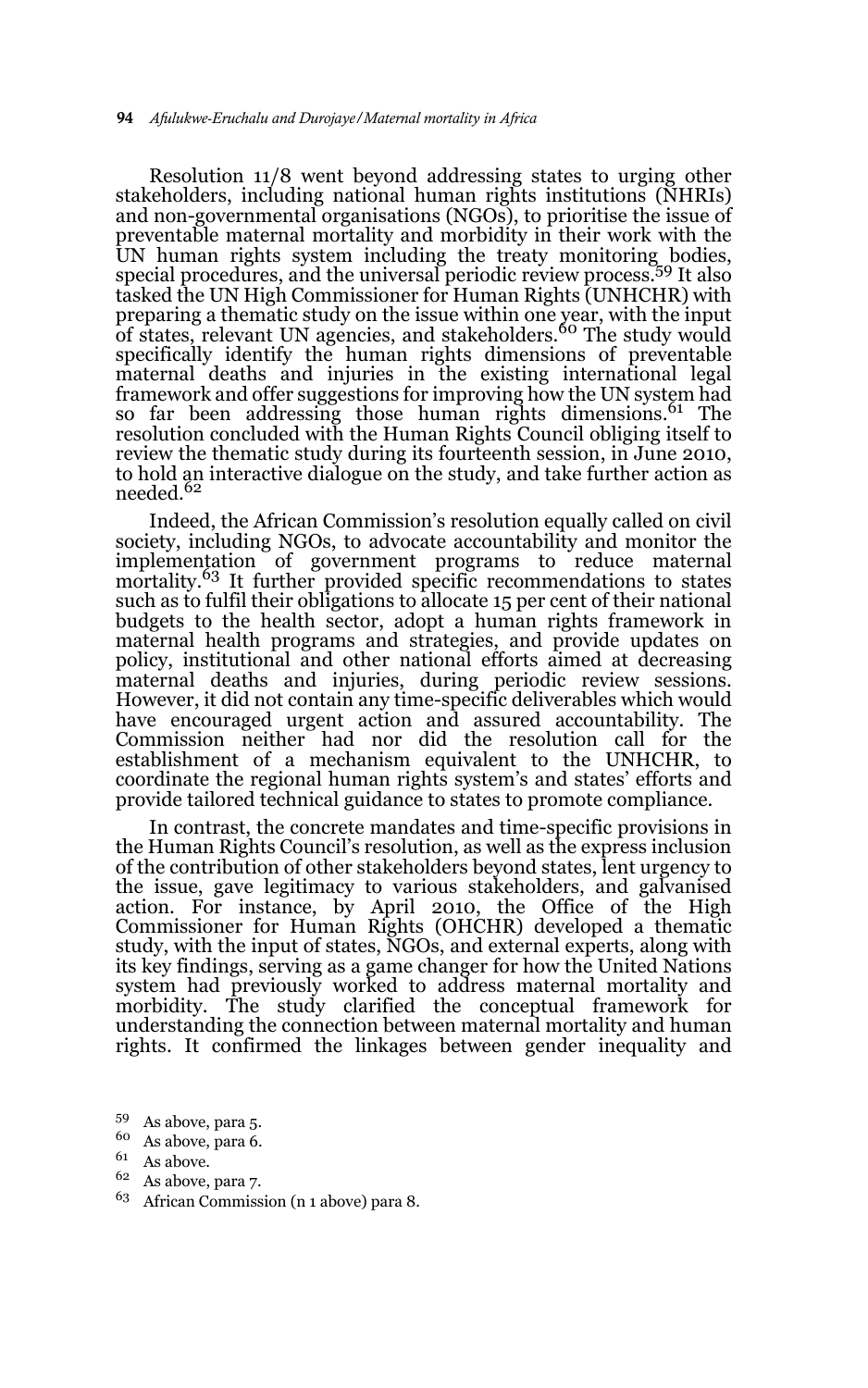Resolution 11/8 went beyond addressing states to urging other stakeholders, including national human rights institutions (NHRIs) and non-governmental organisations (NGOs), to prioritise the issue of preventable maternal mortality and morbidity in their work with the UN human rights system including the treaty monitoring bodies, special procedures, and the universal periodic review process.59 It also tasked the UN High Commissioner for Human Rights (UNHCHR) with preparing a thematic study on the issue within one year, with the input<br>of states, relevant UN agencies, and stakeholders.<sup>60</sup> The study would specifically identify the human rights dimensions of preventable maternal deaths and injuries in the existing international legal framework and offer suggestions for improving how the UN system had so far been addressing those human rights dimensions.<sup>61</sup> The resolution concluded with the Human Rights Council obliging itself to review the thematic study during its fourteenth session, in June 2010, to hold an interactive dialogue on the study, and take further action as needed.<sup>62</sup>

Indeed, the African Commission's resolution equally called on civil society, including NGOs, to advocate accountability and monitor the implementation of government programs to reduce maternal mortality.<sup>63</sup> It further provided specific recommendations to states such as to fulfil their obligations to allocate 15 per cent of their national budgets to the health sector, adopt a human rights framework in maternal health programs and strategies, and provide updates on policy, institutional and other national efforts aimed at decreasing maternal deaths and injuries, during periodic review sessions. However, it did not contain any time-specific deliverables which would have encouraged urgent action and assured accountability. The Commission neither had nor did the resolution call for the establishment of a mechanism equivalent to the UNHCHR, to coordinate the regional human rights system's and states' efforts and provide tailored technical guidance to states to promote compliance.

In contrast, the concrete mandates and time-specific provisions in the Human Rights Council's resolution, as well as the express inclusion of the contribution of other stakeholders beyond states, lent urgency to the issue, gave legitimacy to various stakeholders, and galvanised action. For instance, by April 2010, the Office of the High Commissioner for Human Rights (OHCHR) developed a thematic study, with the input of states, NGOs, and external experts, along with its key findings, serving as a game changer for how the United Nations system had previously worked to address maternal mortality and morbidity. The study clarified the conceptual framework for understanding the connection between maternal mortality and human rights. It confirmed the linkages between gender inequality and

- <sup>59</sup> As above, para 5.
- $^{60}$  As above, para 6.
- As above.
- <sup>62</sup> As above, para 7.
- <sup>63</sup> African Commission (n 1 above) para 8.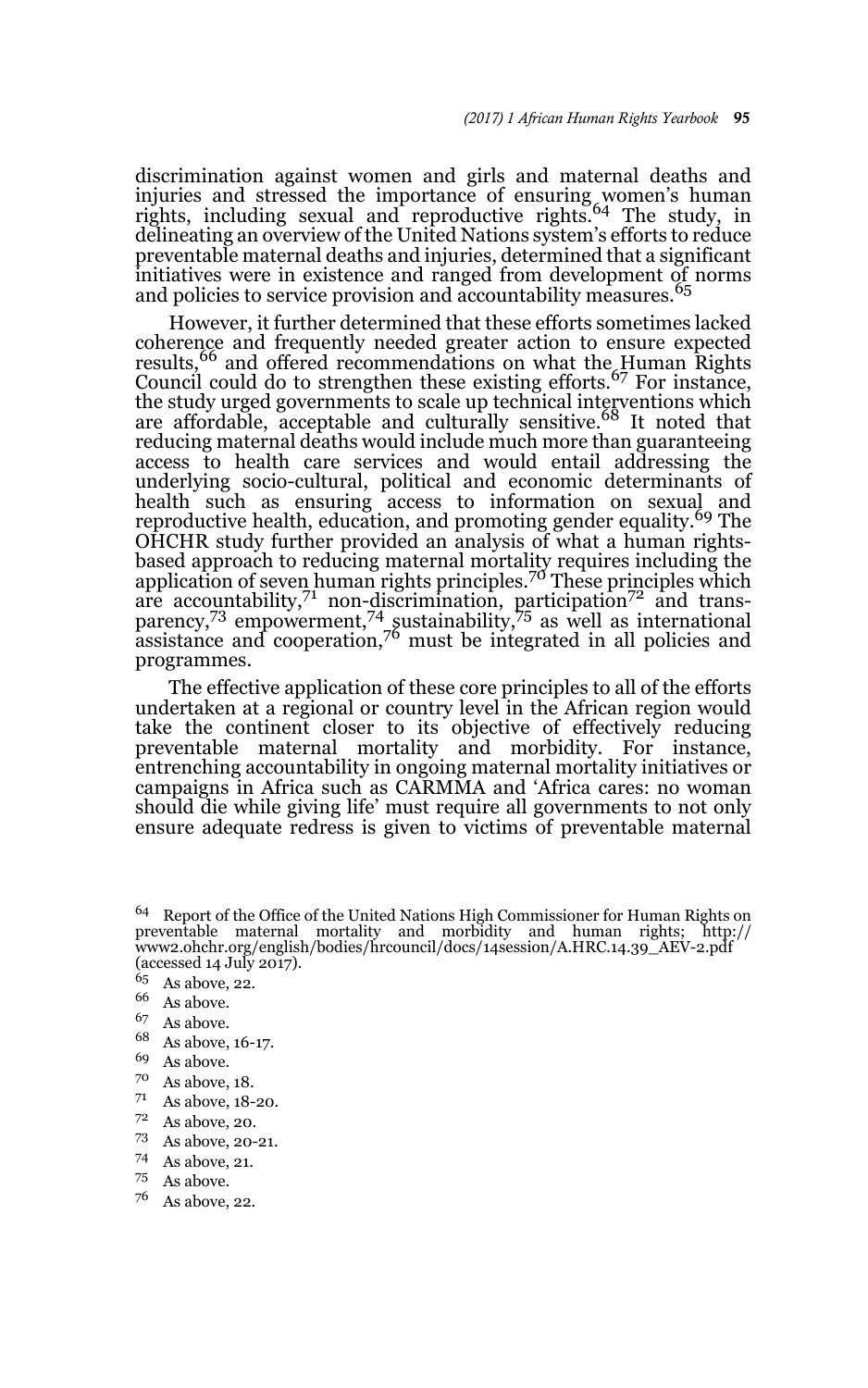discrimination against women and girls and maternal deaths and injuries and stressed the importance of ensuring women's human rights, including sexual and reproductive rights.64 The study, in delineating an overview of the United Nations system's efforts to reduce preventable maternal deaths and injuries, determined that a significant initiatives were in existence and ranged from development of norms and policies to service provision and accountability measures.<sup>65</sup>

However, it further determined that these efforts sometimes lacked coherence and frequently needed greater action to ensure expected results,<sup>66</sup> and offered recommendations on what the Human Rights Council could do to strengthen these existing efforts.<sup>67</sup> For instance, the study urged governments to scale up technical interventions which are affordable, acceptable and culturally sensitive.<sup>68</sup> It noted that reducing maternal deaths would include much more than guaranteeing access to health care services and would entail addressing the underlying socio-cultural, political and economic determinants of health such as ensuring access to information on sexual and reproductive health, education, and promoting gender equality.<sup>69</sup> The OHCHR study further provided an analysis of what a human rightsbased approach to reducing maternal mortality requires including the<br>application of seven human rights principles.<sup>70</sup> These principles which are accountability, $7^1$  non-discrimination, participation $7^2$  and transparency,<sup>73</sup> empowerment,<sup>74</sup> sustainability,<sup>75</sup> as well as international  $\alpha$  assistance and cooperation,  $\alpha$ <sup>6</sup> must be integrated in all policies and programmes.

The effective application of these core principles to all of the efforts undertaken at a regional or country level in the African region would take the continent closer to its objective of effectively reducing preventable maternal mortality and morbidity. For instance, entrenching accountability in ongoing maternal mortality initiatives or campaigns in Africa such as CARMMA and 'Africa cares: no woman should die while giving life' must require all governments to not only ensure adequate redress is given to victims of preventable maternal

- $^{68}$  As above, 16-17.
- $^{69}$  As above.
- $^{70}$  As above, 18.
- As above, 18-20.
- $\frac{72}{73}$  As above, 20.
- $^{73}$  As above, 20-21.<br> $^{74}$  As above 21
- As above, 21.
- <sup>75</sup> As above.
- <sup>76</sup> As above, 22.

<sup>64</sup> Report of the Office of the United Nations High Commissioner for Human Rights on preventable maternal mortality and morbidity and human rights; http:// www2.ohchr.org/english/bodies/hrcouncil/docs/14session/A.HRC.14.39\_AEV-2.pdf (accessed 14 July 2017).

 $\frac{65}{66}$  As above, 22.

 $^{66}$  As above.

 $^{67}$  As above.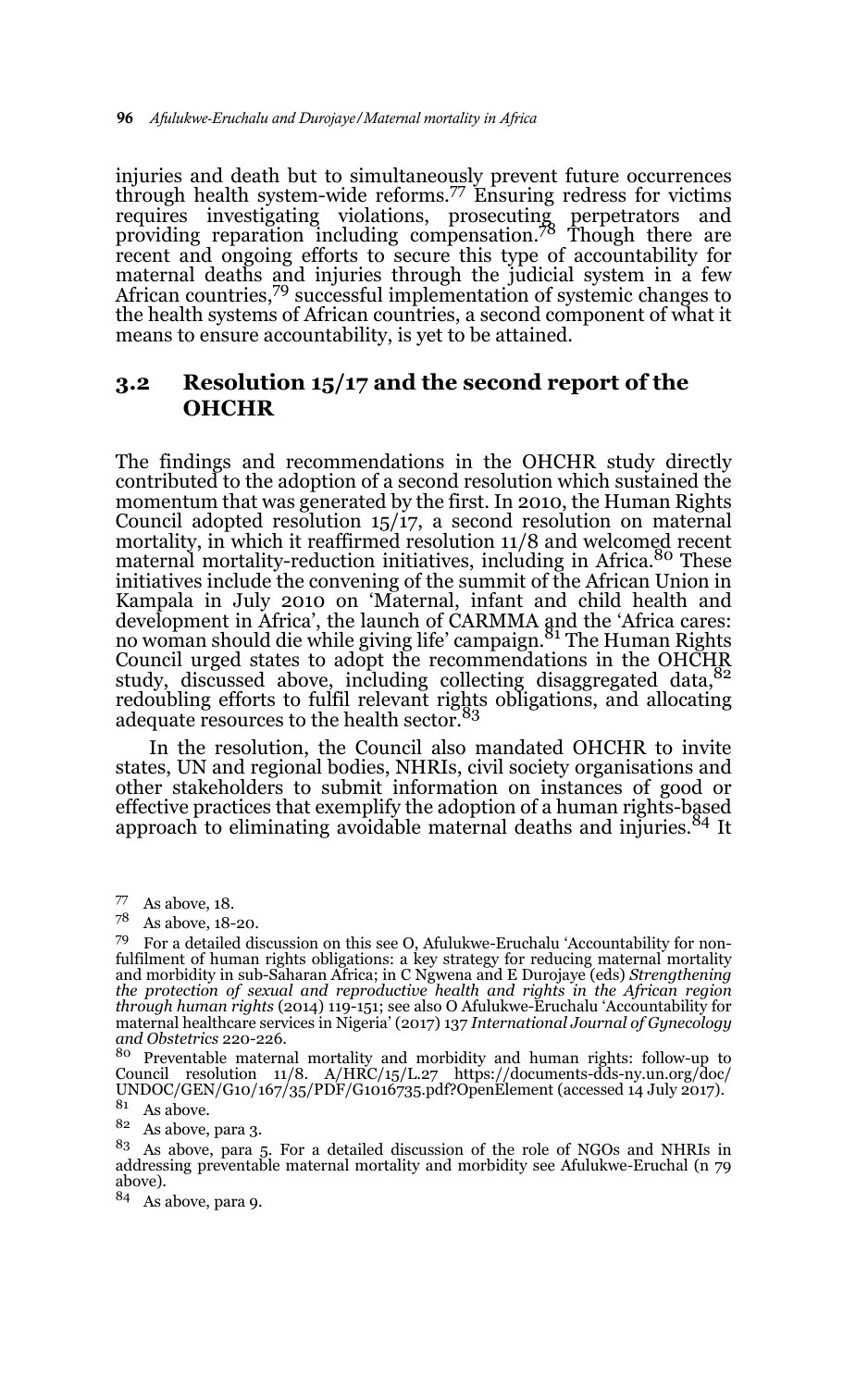injuries and death but to simultaneously prevent future occurrences through health system-wide reforms.77 Ensuring redress for victims requires investigating violations, prosecuting perpetrators and providing reparation including compensation.78 Though there are recent and ongoing efforts to secure this type of accountability for maternal deaths and injuries through the judicial system in a few African countries,<sup>79</sup> successful implementation of systemic changes to the health systems of African countries, a second component of what it means to ensure accountability, is yet to be attained.

### **3.2 Resolution 15/17 and the second report of the OHCHR**

The findings and recommendations in the OHCHR study directly contributed to the adoption of a second resolution which sustained the momentum that was generated by the first. In 2010, the Human Rights Council adopted resolution 15/17, a second resolution on maternal mortality, in which it reaffirmed resolution 11/8 and welcomed recent maternal mortality-reduction initiatives, including in Africa.<sup>80</sup> These initiatives include the convening of the summit of the African Union in Kampala in July 2010 on 'Maternal, infant and child health and development in Africa', the launch of CARMMA and the 'Africa cares:<br>no woman should die while giving life' campaign.<sup>81</sup> The Human Rights Council urged states to adopt the recommendations in the OHCHR study, discussed above, including collecting disaggregated data, <sup>82</sup> redoubling efforts to fulfil relevant rights obligations, and allocating adequate resources to the health sector.<sup>83</sup>

In the resolution, the Council also mandated OHCHR to invite states, UN and regional bodies, NHRIs, civil society organisations and other stakeholders to submit information on instances of good or effective practices that exemplify the adoption of a human rights-based approach to eliminating avoidable maternal deaths and injuries.<sup>84</sup> It

<sup>80</sup> Preventable maternal mortality and morbidity and human rights: follow-up to Council resolution 11/8. A/HRC/15/L.27 https://documents-dds-ny.un.org/doc/ UNDOC/GEN/G10/167/35/PDF/G1016735.pdf?OpenElement (accessed 14 July 2017).

<sup>82</sup> As above, para 3.

<sup>83</sup> As above, para 5. For a detailed discussion of the role of NGOs and NHRIs in addressing preventable maternal mortality and morbidity see Afulukwe-Eruchal (n 79 above).

<sup>84</sup> As above, para 9.

<sup>77</sup> As above, 18.

<sup>78</sup> As above, 18-20.

<sup>79</sup> For a detailed discussion on this see O, Afulukwe-Eruchalu 'Accountability for nonfulfilment of human rights obligations: a key strategy for reducing maternal mortality and morbidity in sub-Saharan Africa; in C Ngwena and E Durojaye (eds) *Strengthening the protection of sexual and reproductive health and rights in the African region through human rights* (2014) 119-151; see also O Afulukwe-Eruchalu 'Accountability for maternal healthcare services in Nigeria' (2017) 137 *International Journal of Gynecology and Obstetrics* 220-226.

 $^{81}\;$  As above.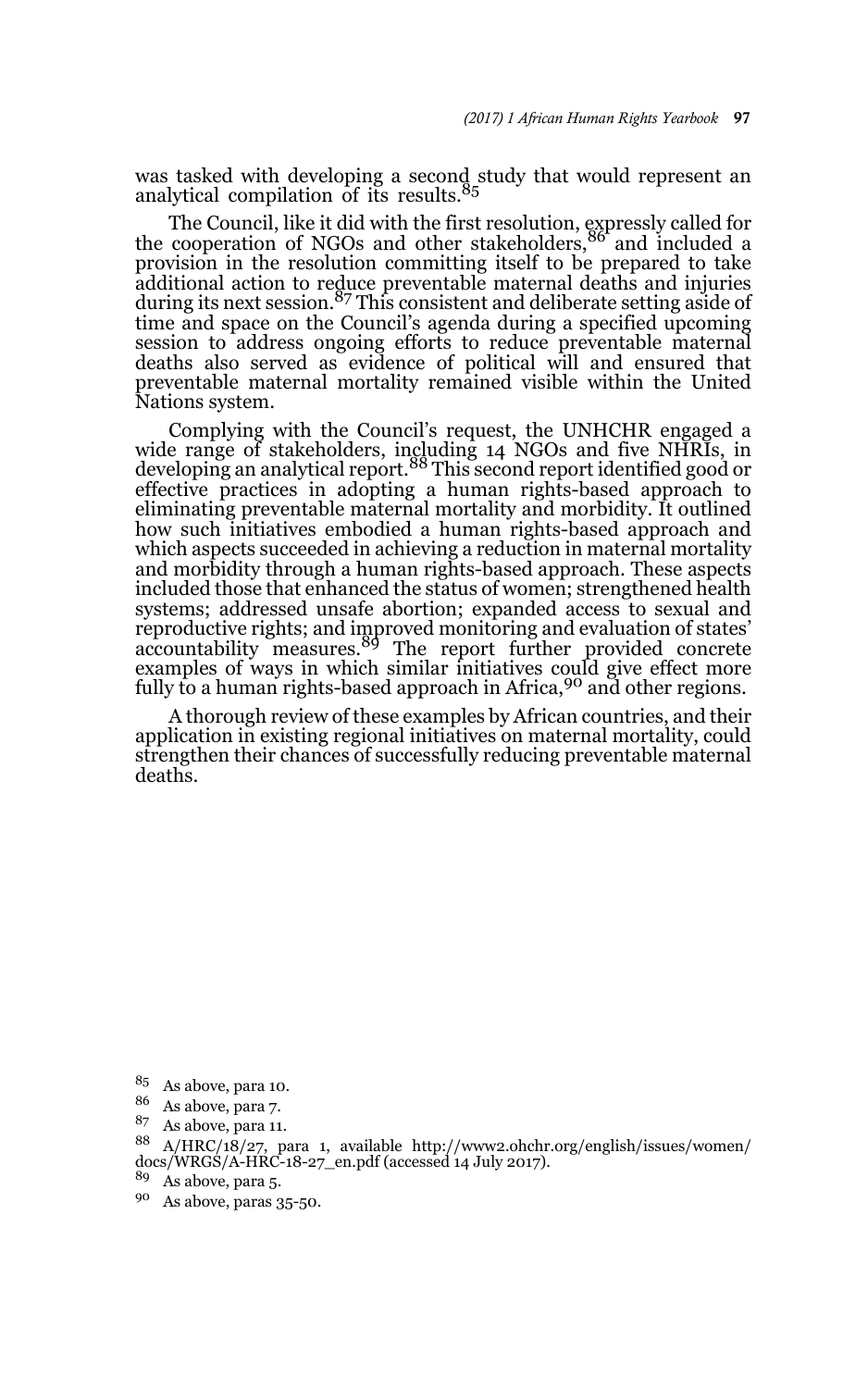was tasked with developing a second study that would represent an analytical compilation of its results.<sup>85</sup>

The Council, like it did with the first resolution, expressly called for the cooperation of NGOs and other stakeholders,<sup>86</sup> and included a provision in the resolution committing itself to be prepared to take additional action to reduce preventable maternal deaths and injuries during its next session.<sup>87</sup> This consistent and deliberate setting aside of time and space on the Council's agenda during a specified upcoming session to address ongoing efforts to reduce preventable maternal deaths also served as evidence of political will and ensured that preventable maternal mortality remained visible within the United Nations system.

Complying with the Council's request, the UNHCHR engaged a wide range of stakeholders, including 14 NGOs and five NHRIs, in<br>developing an analytical report.<sup>88</sup> This second report identified good or effective practices in adopting a human rights-based approach to eliminating preventable maternal mortality and morbidity. It outlined how such initiatives embodied a human rights-based approach and which aspects succeeded in achieving a reduction in maternal mortality and morbidity through a human rights-based approach. These aspects included those that enhanced the status of women; strengthened health systems; addressed unsafe abortion; expanded access to sexual and reproductive rights; and improved monitoring and evaluation of states'<br>accountability measures.<sup>89</sup> The report further provided concrete examples of ways in which similar initiatives could give effect more fully to a human rights-based approach in Africa,<sup>90</sup> and other regions.

A thorough review of these examples by African countries, and their application in existing regional initiatives on maternal mortality, could strengthen their chances of successfully reducing preventable maternal deaths.

<sup>85</sup> As above, para 10.

 $\frac{86}{87}$  As above, para 7.

As above, para 11.

<sup>88</sup> A/HRC/18/27, para 1, available http://www2.ohchr.org/english/issues/women/ docs/WRGS/A-HRC-18-27\_en.pdf (accessed 14 July 2017).

<sup>89</sup> As above, para 5.

<sup>90</sup> As above, paras 35-50.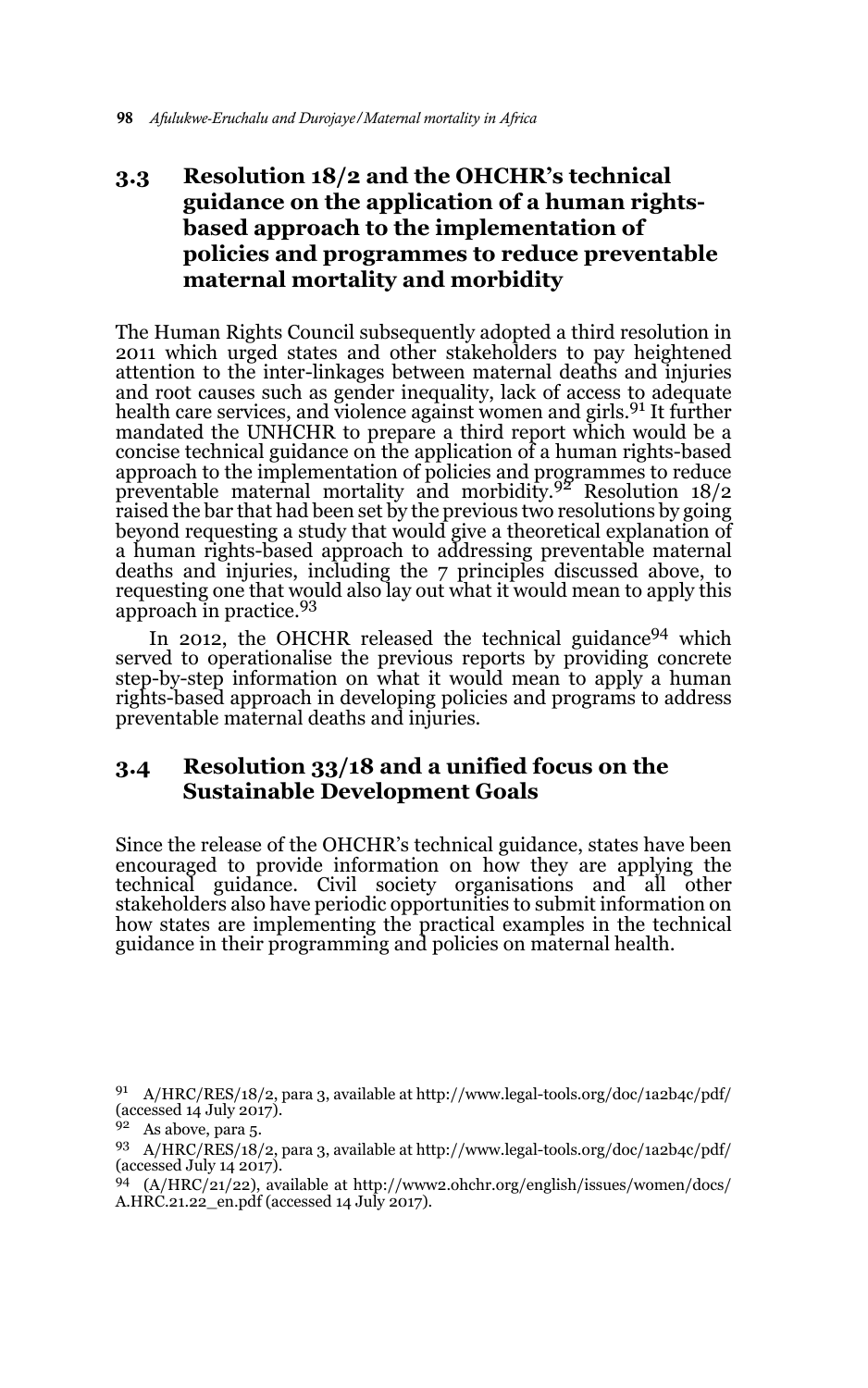# **3.3 Resolution 18/2 and the OHCHR's technical guidance on the application of a human rightsbased approach to the implementation of policies and programmes to reduce preventable maternal mortality and morbidity**

The Human Rights Council subsequently adopted a third resolution in 2011 which urged states and other stakeholders to pay heightened attention to the inter-linkages between maternal deaths and injuries and root causes such as gender inequality, lack of access to adequate health care services, and violence against women and girls.<sup>91</sup> It further mandated the UNHCHR to prepare a third report which would be a concise technical guidance on the application of a human rights-based approach to the implementation of policies and programmes to reduce preventable maternal mortality and morbidity.92 Resolution 18/2 raised the bar that had been set by the previous two resolutions by going beyond requesting a study that would give a theoretical explanation of a human rights-based approach to addressing preventable maternal deaths and injuries, including the 7 principles discussed above, to requesting one that would also lay out what it would mean to apply this<br>approach in practice.<sup>93</sup>

In 2012, the OHCHR released the technical guidance<sup>94</sup> which served to operationalise the previous reports by providing concrete step-by-step information on what it would mean to apply a human rights-based approach in developing policies and programs to address preventable maternal deaths and injuries.

## **3.4 Resolution 33/18 and a unified focus on the Sustainable Development Goals**

Since the release of the OHCHR's technical guidance, states have been encouraged to provide information on how they are applying the technical guidance. Civil society organisations and all other stakeholders also have periodic opportunities to submit information on how states are implementing the practical examples in the technical guidance in their programming and policies on maternal health.

<sup>91</sup> A/HRC/RES/18/2, para 3, available at http://www.legal-tools.org/doc/1a2b4c/pdf/ (accessed  $14$  July  $2017$ ).

 $92$  As above, para 5.

<sup>93</sup> A/HRC/RES/18/2, para 3, available at http://www.legal-tools.org/doc/1a2b4c/pdf/ (accessed July 14 2017).

<sup>94</sup> (A/HRC/21/22), available at http://www2.ohchr.org/english/issues/women/docs/ A.HRC.21.22\_en.pdf (accessed 14 July 2017).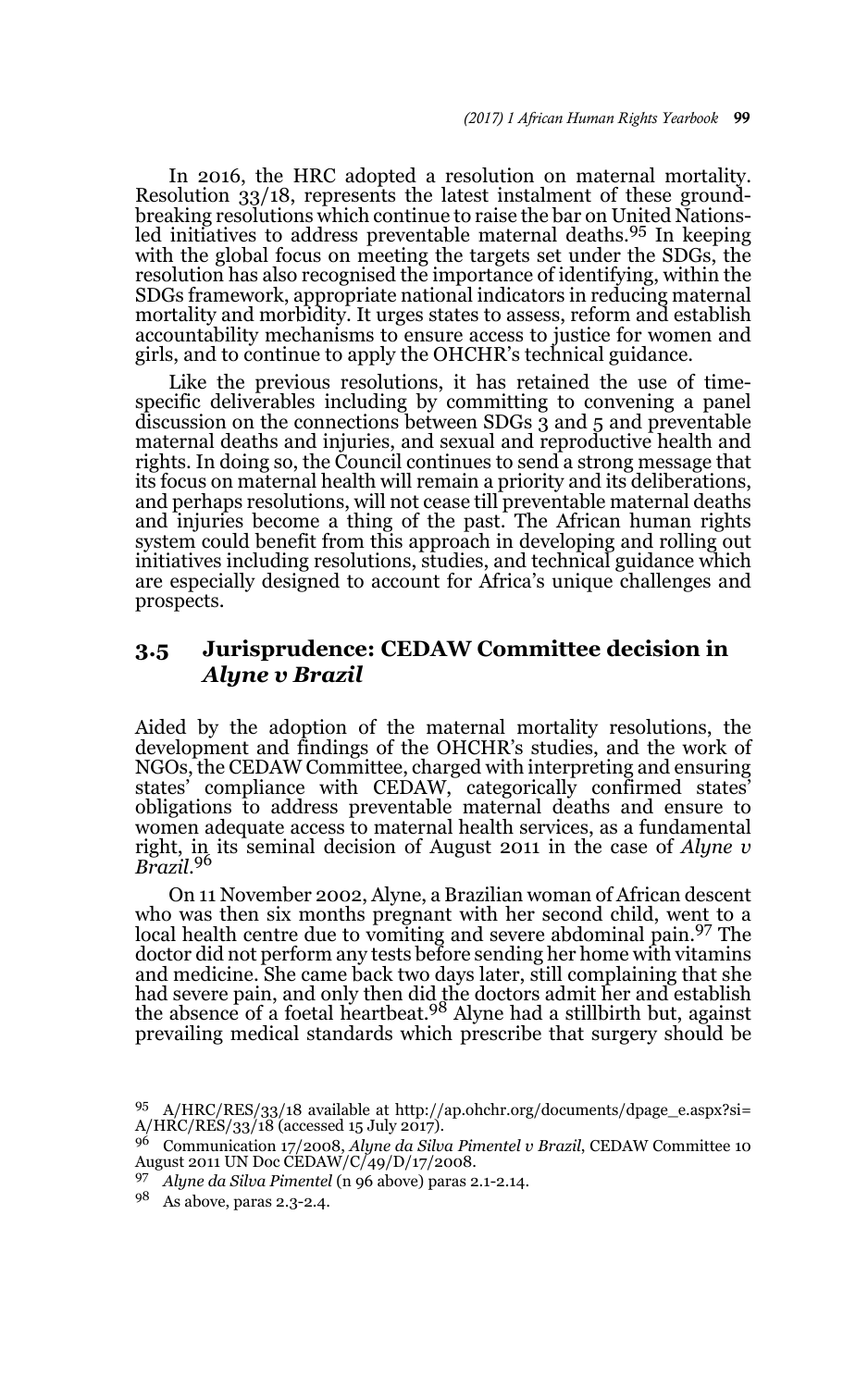In 2016, the HRC adopted a resolution on maternal mortality. Resolution 33/18, represents the latest instalment of these groundbreaking resolutions which continue to raise the bar on United Nationsled initiatives to address preventable maternal deaths.95 In keeping with the global focus on meeting the targets set under the SDGs, the resolution has also recognised the importance of identifying, within the SDGs framework, appropriate national indicators in reducing maternal mortality and morbidity. It urges states to assess, reform and establish accountability mechanisms to ensure access to justice for women and girls, and to continue to apply the OHCHR's technical guidance.

Like the previous resolutions, it has retained the use of timespecific deliverables including by committing to convening a panel discussion on the connections between SDGs 3 and 5 and preventable maternal deaths and injuries, and sexual and reproductive health and rights. In doing so, the Council continues to send a strong message that its focus on maternal health will remain a priority and its deliberations, and perhaps resolutions, will not cease till preventable maternal deaths and injuries become a thing of the past. The African human rights system could benefit from this approach in developing and rolling out initiatives including resolutions, studies, and technical guidance which are especially designed to account for Africa's unique challenges and prospects.

### **3.5 Jurisprudence: CEDAW Committee decision in**  *Alyne v Brazil*

Aided by the adoption of the maternal mortality resolutions, the development and findings of the OHCHR's studies, and the work of NGOs, the CEDAW Committee, charged with interpreting and ensuring states' compliance with CEDAW, categorically confirmed states' obligations to address preventable maternal deaths and ensure to women adequate access to maternal health services, as a fundamental right, in its seminal decision of August 2011 in the case of *Alyne v Brazil*. 96

On 11 November 2002, Alyne, a Brazilian woman of African descent who was then six months pregnant with her second child, went to a local health centre due to vomiting and severe abdominal pain.97 The doctor did not perform any tests before sending her home with vitamins and medicine. She came back two days later, still complaining that she had severe pain, and only then did the doctors admit her and establish the absence of a foetal heartbeat.98 Alyne had a stillbirth but, against prevailing medical standards which prescribe that surgery should be

<sup>95</sup> A/HRC/RES/33/18 available at http://ap.ohchr.org/documents/dpage\_e.aspx?si=  $A/HRC/RES/33/18$  (accessed 15 July 2017).

<sup>96</sup> Communication 17/2008, *Alyne da Silva Pimentel v Brazil*, CEDAW Committee 10 August 2011 UN Doc CEDAW/C/49/D/17/2008.

<sup>97</sup> *Alyne da Silva Pimentel* (n 96 above) paras 2.1-2.14.

<sup>98</sup> As above, paras 2.3-2.4.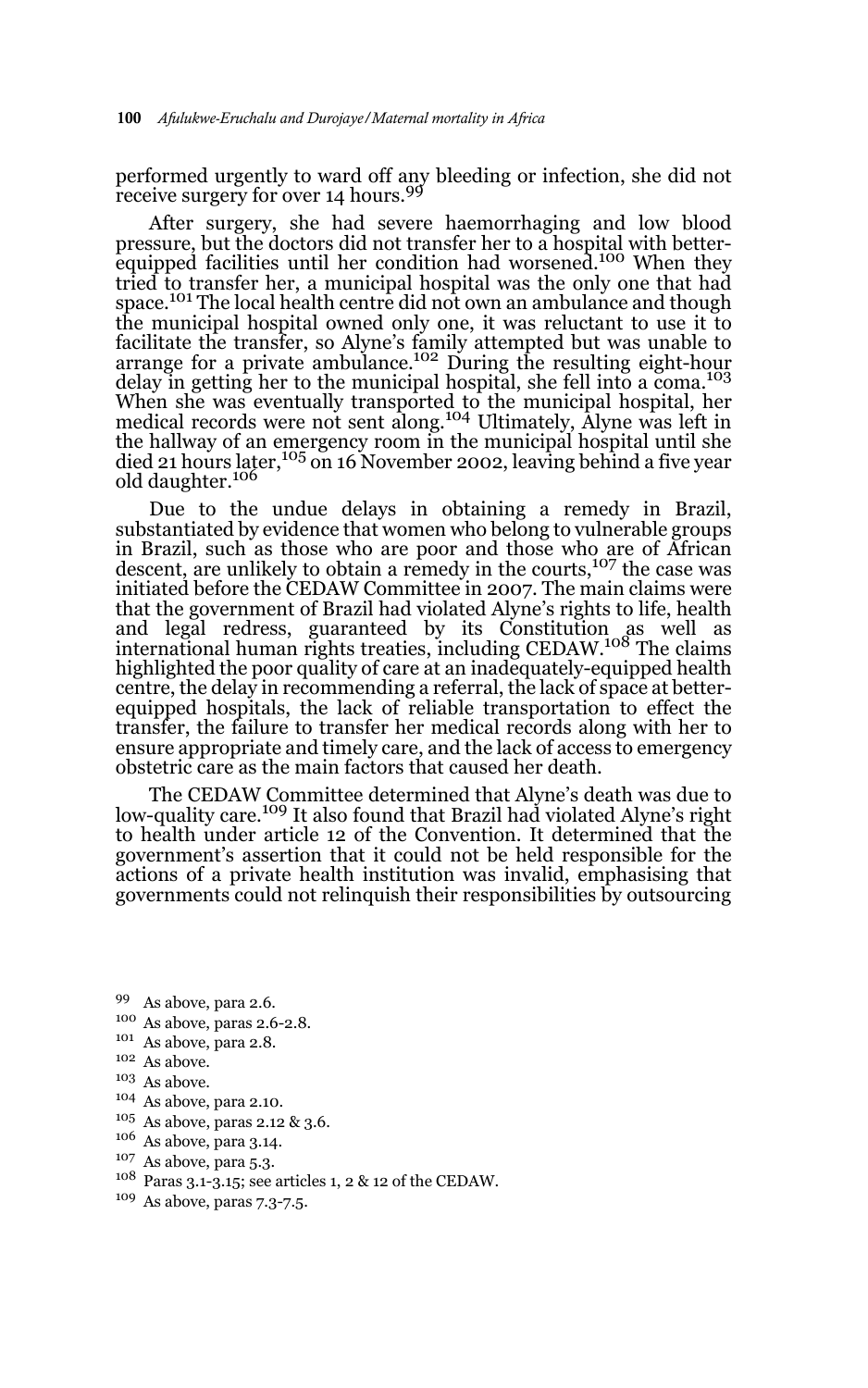performed urgently to ward off any bleeding or infection, she did not<br>receive surgery for over 14 hours.<sup>99</sup>

After surgery, she had severe haemorrhaging and low blood pressure, but the doctors did not transfer her to a hospital with betterequipped facilities until her condition had worsened.<sup>100</sup> When they tried to transfer her, a municipal hospital was the only one that had space.<sup>101</sup> The local health centre did not own an ambulance and though the municipal hospital owned only one, it was reluctant to use it to facilitate the transfer, so Alyne's family attempted but was unable to<br>arrange for a private ambulance.<sup>102</sup> During the resulting eight-hour delay in getting her to the municipal hospital, she fell into a coma.<sup>103</sup> When she was eventually transported to the municipal hospital, her medical records were not sent along.<sup>104</sup> Ultimately, Alyne was left in the hallway of an emergency room in the municipal hospital until she died 21 hours later,<sup>105</sup> on 16 November 2002, leaving behind a five year old daughter.<sup>106</sup>

Due to the undue delays in obtaining a remedy in Brazil, substantiated by evidence that women who belong to vulnerable groups in Brazil, such as those who are poor and those who are of African descent, are unlikely to obtain a remedy in the courts, $107$  the case was initiated before the CEDAW Committee in 2007. The main claims were that the government of Brazil had violated Alyne's rights to life, health and legal redress, guaranteed by its Constitution as well as<br>international·human·rights·treaties,·including CEDAW.<sup>108</sup> The claims highlighted the poor quality of care at an inadequately-equipped health centre, the delay in recommending a referral, the lack of space at betterequipped hospitals, the lack of reliable transportation to effect the transfer, the failure to transfer her medical records along with her to ensure appropriate and timely care, and the lack of access to emergency obstetric care as the main factors that caused her death.

The CEDAW Committee determined that Alyne's death was due to low-quality care.109 It also found that Brazil had violated Alyne's right to health under article 12 of the Convention. It determined that the government's assertion that it could not be held responsible for the actions of a private health institution was invalid, emphasising that governments could not relinquish their responsibilities by outsourcing

- <sup>99</sup> As above, para 2.6.
- <sup>100</sup> As above, paras 2.6-2.8.
- <sup>101</sup> As above, para 2.8.
- $102\,$  As above.
- <sup>103</sup> As above.
- <sup>104</sup> As above, para 2.10.
- <sup>105</sup> As above, paras 2.12 & 3.6.
- <sup>106</sup> As above, para 3.14.
- <sup>107</sup> As above, para 5.3.
- <sup>108</sup> Paras 3.1-3.15; see articles 1, 2 & 12 of the CEDAW.
- <sup>109</sup> As above, paras 7.3-7.5.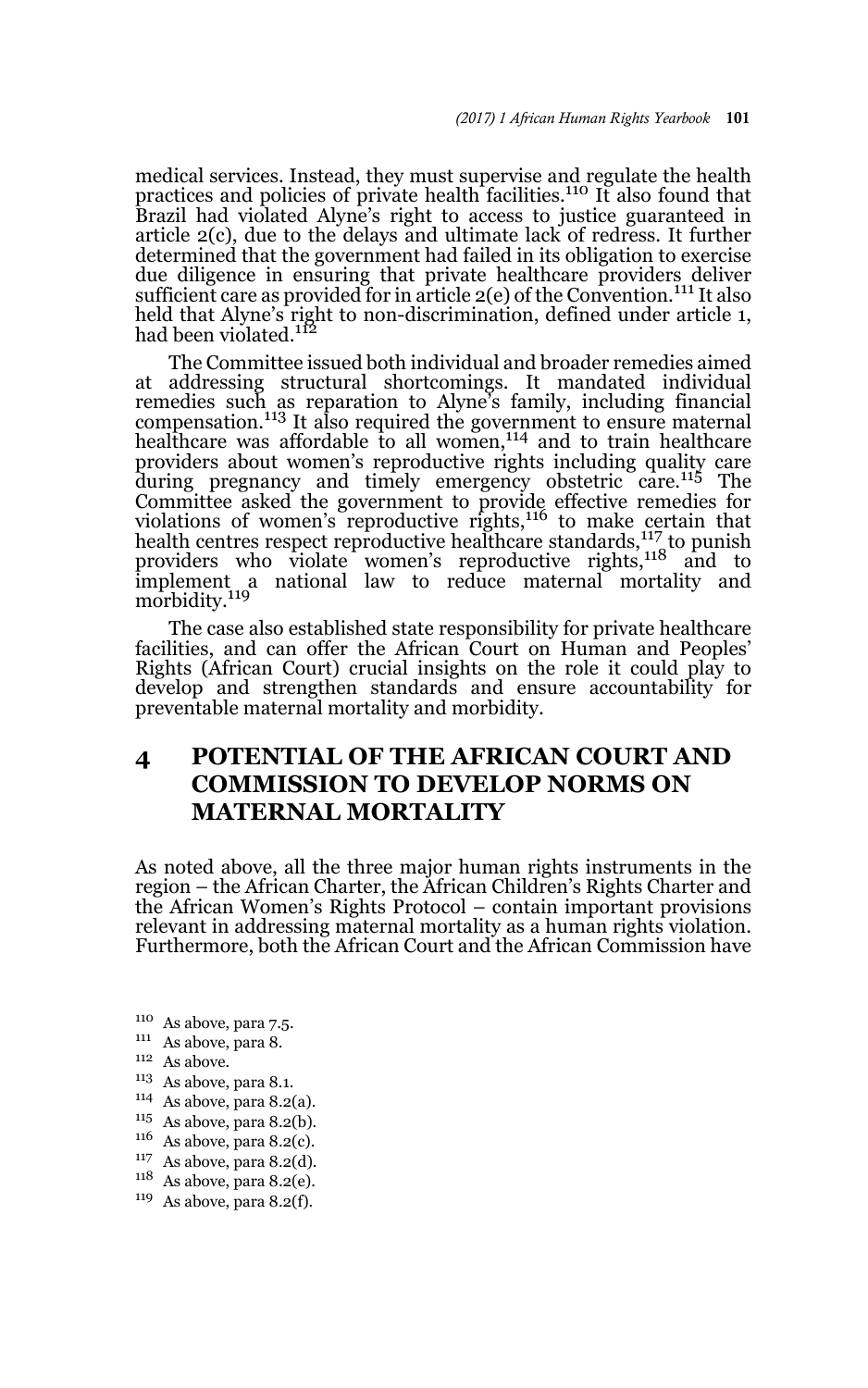medical services. Instead, they must supervise and regulate the health practices and policies of private health facilities.<sup>110</sup> It also found that Brazil had violated Alyne's right to access to justice guaranteed in article 2(c), due to the delays and ultimate lack of redress. It further determined that the government had failed in its obligation to exercise due diligence in ensuring that private healthcare providers deliver sufficient care as provided for in article  $2(e)$  of the Convention.<sup>111</sup> It also held that Alyne's right to non-discrimination, defined under article 1,<br>had been violated.<sup>112</sup>

The Committee issued both individual and broader remedies aimed at addressing structural shortcomings. It mandated individual remedies such as reparation to Alyne's family, including financial compensation.113 It also required the government to ensure maternal healthcare was affordable to all women,<sup>114</sup> and to train healthcare providers about women's reproductive rights including quality care during pregnancy and timely emergency obstetric care.115 The Committee asked the government to provide effective remedies for violations of women's reproductive rights,<sup>116</sup> to make certain that health centres respect reproductive healthcare standards,<sup>117</sup> to punish providers who violate women's reproductive rights,<sup>118</sup> and to implement a national law to reduce maternal mortality and morbidity.<sup>119</sup>

The case also established state responsibility for private healthcare facilities, and can offer the African Court on Human and Peoples' Rights (African Court) crucial insights on the role it could play to develop and strengthen standards and ensure accountability for preventable maternal mortality and morbidity.

# **4 POTENTIAL OF THE AFRICAN COURT AND COMMISSION TO DEVELOP NORMS ON MATERNAL MORTALITY**

As noted above, all the three major human rights instruments in the region – the African Charter, the African Children's Rights Charter and the African Women's Rights Protocol – contain important provisions relevant in addressing maternal mortality as a human rights violation. Furthermore, both the African Court and the African Commission have

- <sup>110</sup> As above, para 7.5.
- <sup>111</sup> As above, para 8.
- $^{112}\,$  As above.
- <sup>113</sup> As above, para 8.1.
- <sup>114</sup> As above, para 8.2(a).
- $115$  As above, para 8.2(b).
- $116$  As above, para 8.2(c).
- <sup>117</sup> As above, para 8.2(d).
- $118$  As above, para 8.2(e).
- $119$  As above, para 8.2(f).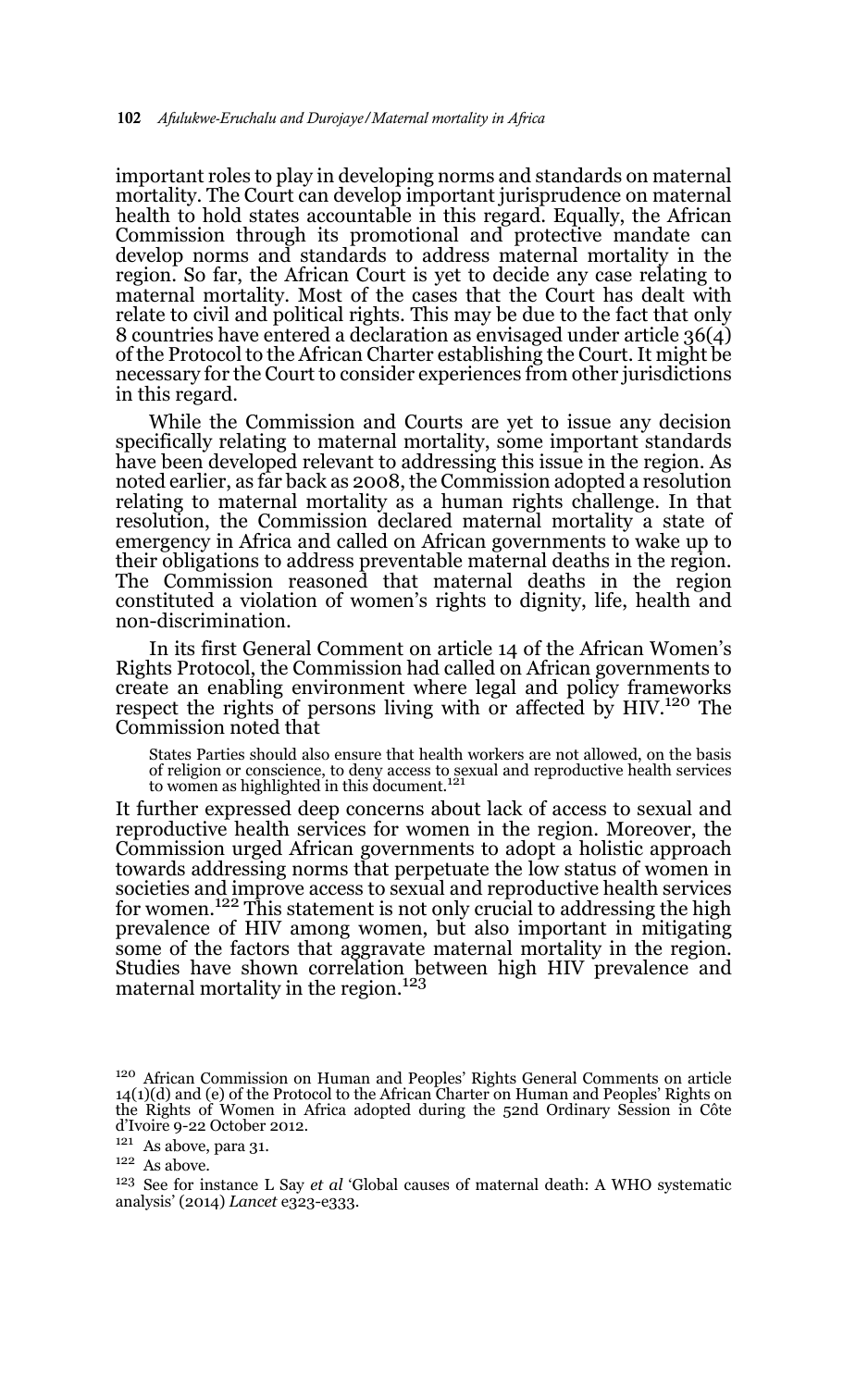important roles to play in developing norms and standards on maternal mortality. The Court can develop important jurisprudence on maternal health to hold states accountable in this regard. Equally, the African Commission through its promotional and protective mandate can develop norms and standards to address maternal mortality in the region. So far, the African Court is yet to decide any case relating to maternal mortality. Most of the cases that the Court has dealt with relate to civil and political rights. This may be due to the fact that only 8 countries have entered a declaration as envisaged under article 36(4) of the Protocol to the African Charter establishing the Court. It might be necessary for the Court to consider experiences from other jurisdictions in this regard.

While the Commission and Courts are yet to issue any decision specifically relating to maternal mortality, some important standards have been developed relevant to addressing this issue in the region. As noted earlier, as far back as 2008, the Commission adopted a resolution relating to maternal mortality as a human rights challenge. In that resolution, the Commission declared maternal mortality a state of emergency in Africa and called on African governments to wake up to their obligations to address preventable maternal deaths in the region. The Commission reasoned that maternal deaths in the region constituted a violation of women's rights to dignity, life, health and non-discrimination.

In its first General Comment on article 14 of the African Women's Rights Protocol, the Commission had called on African governments to create an enabling environment where legal and policy frameworks respect the rights of persons living with or affected by HIV.<sup>120</sup> The Commission noted that

States Parties should also ensure that health workers are not allowed, on the basis of religion or conscience, to deny access to sexual and reproductive health services<br>to women as highlighted in this document.<sup>121</sup>

It further expressed deep concerns about lack of access to sexual and reproductive health services for women in the region. Moreover, the Commission urged African governments to adopt a holistic approach towards addressing norms that perpetuate the low status of women in societies and improve access to sexual and reproductive health services for women.<sup>122</sup> This statement is not only crucial to addressing the high prevalence of HIV among women, but also important in mitigating some of the factors that aggravate maternal mortality in the region. Studies have shown correlation between high HIV prevalence and maternal mortality in the region.<sup>123</sup>

<sup>120</sup> African Commission on Human and Peoples' Rights General Comments on article 14(1)(d) and (e) of the Protocol to the African Charter on Human and Peoples' Rights on the Rights of Women in Africa adopted during the 52nd Ordinary Session in Côte d'Ivoire 9-22 October 2012.

<sup>121</sup> As above, para 31.

 $122$  As above.

<sup>123</sup> See for instance L Say *et al* 'Global causes of maternal death: A WHO systematic analysis' (2014) *Lancet* e323-e333.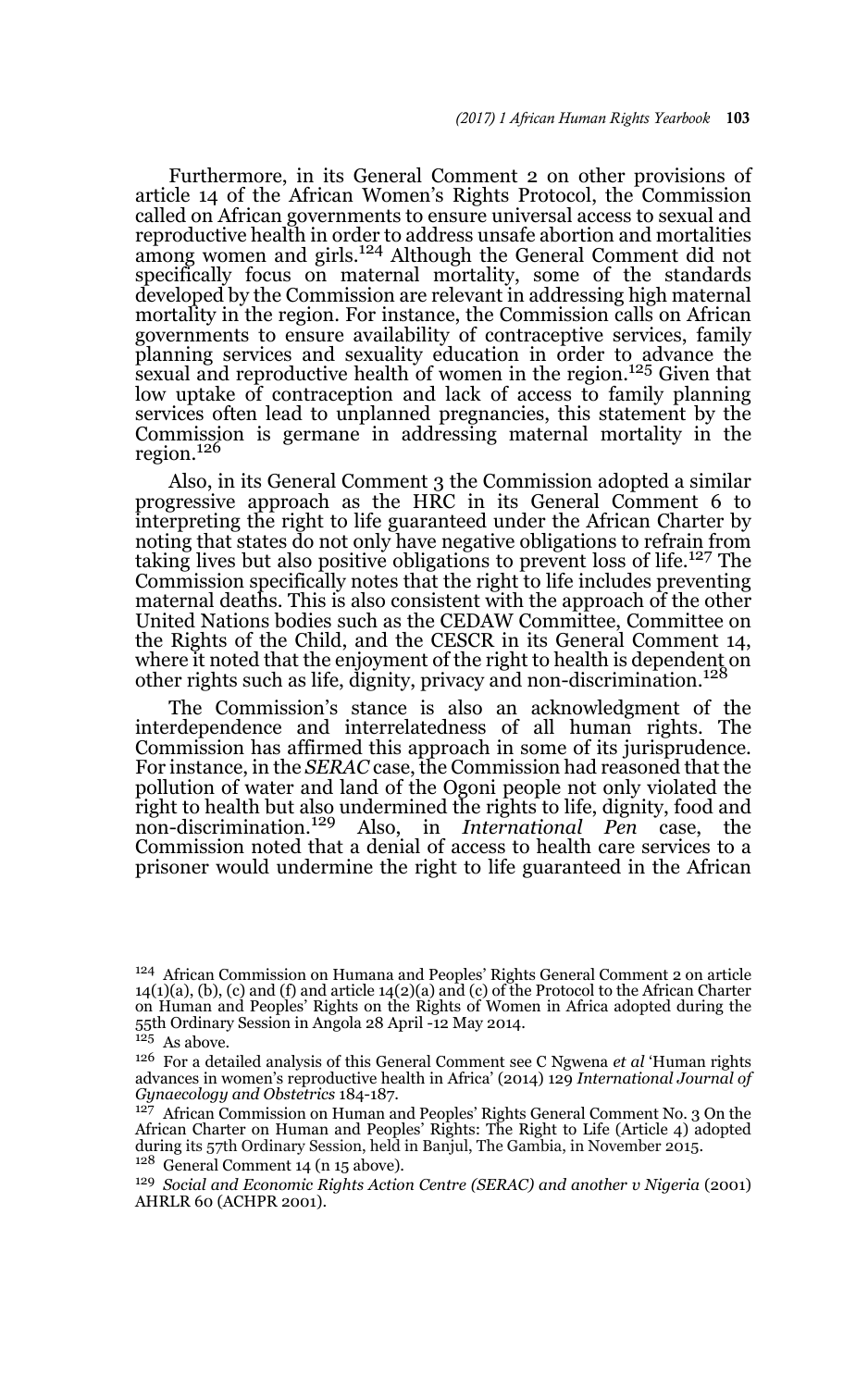Furthermore, in its General Comment 2 on other provisions of article 14 of the African Women's Rights Protocol, the Commission called on African governments to ensure universal access to sexual and reproductive health in order to address unsafe abortion and mortalities among women and girls.124 Although the General Comment did not specifically focus on maternal mortality, some of the standards developed by the Commission are relevant in addressing high maternal mortality in the region. For instance, the Commission calls on African governments to ensure availability of contraceptive services, family planning services and sexuality education in order to advance the sexual and reproductive health of women in the region.125 Given that low uptake of contraception and lack of access to family planning services often lead to unplanned pregnancies, this statement by the Commission is germane in addressing maternal mortality in the region. $126$ 

Also, in its General Comment 3 the Commission adopted a similar progressive approach as the HRC in its General Comment 6 to interpreting the right to life guaranteed under the African Charter by noting that states do not only have negative obligations to refrain from taking lives but also positive obligations to prevent loss of life.127 The Commission specifically notes that the right to life includes preventing maternal deaths. This is also consistent with the approach of the other United Nations bodies such as the CEDAW Committee, Committee on the Rights of the Child, and the CESCR in its General Comment 14, where it noted that the enjoyment of the right to health is dependent on other rights such as life, dignity, privacy and non-discrimination.<sup>128</sup>

The Commission's stance is also an acknowledgment of the interdependence and interrelatedness of all human rights. The Commission has affirmed this approach in some of its jurisprudence. For instance, in the *SERAC* case, the Commission had reasoned that the pollution of water and land of the Ogoni people not only violated the right to health but also undermined the rights to life, dignity, food and non-discrimination.129 Also, in *International Pen* case, the Commission noted that a denial of access to health care services to a prisoner would undermine the right to life guaranteed in the African

<sup>128</sup> General Comment 14 (n 15 above).

<sup>124</sup> African Commission on Humana and Peoples' Rights General Comment 2 on article 14(1)(a), (b), (c) and (f) and article 14(2)(a) and (c) of the Protocol to the African Charter on Human and Peoples' Rights on the Rights of Women in Africa adopted during the 55th Ordinary Session in Angola 28 April -12 May 2014.

 $125$  As above.

<sup>126</sup> For a detailed analysis of this General Comment see C Ngwena *et al* 'Human rights advances in women's reproductive health in Africa' (2014) 129 *International Journal of Gynaecology and Obstetrics* 184-187.

<sup>&</sup>lt;sup>127</sup> African Commission on Human and Peoples' Rights General Comment No. 3 On the African Charter on Human and Peoples' Rights: The Right to Life (Article 4) adopted during its 57th Ordinary Session, held in Banjul, The Gambia, in November 2015.

<sup>129</sup> *Social and Economic Rights Action Centre (SERAC) and another v Nigeria* (2001) AHRLR 60 (ACHPR 2001).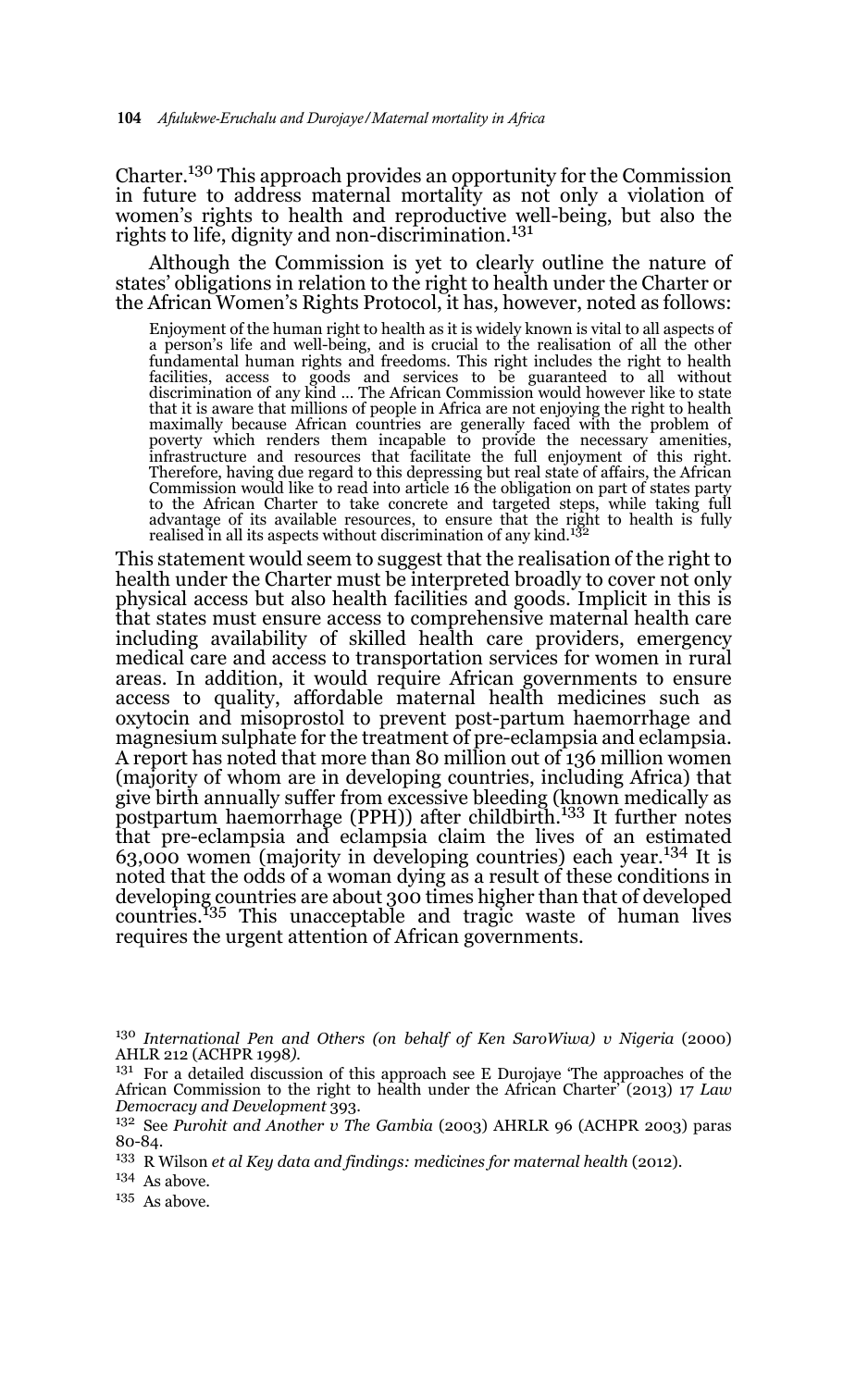Charter.130 This approach provides an opportunity for the Commission in future to address maternal mortality as not only a violation of women's rights to health and reproductive well-being, but also the rights to life, dignity and non-discrimination.<sup>131</sup>

Although the Commission is yet to clearly outline the nature of states' obligations in relation to the right to health under the Charter or the African Women's Rights Protocol, it has, however, noted as follows:

Enjoyment of the human right to health as it is widely known is vital to all aspects of a person's life and well-being, and is crucial to the realisation of all the other fundamental human rights and freedoms. This right includes the right to health facilities, access to goods and services to be guaranteed to all without discrimination of any kind … The African Commission would however like to state that it is aware that millions of people in Africa are not enjoying the right to health maximally because African countries are generally faced with the problem of poverty which renders them incapable to provide the necessary amenities, infrastructure and resources that facilitate the full enjoyment of this right. Therefore, having due regard to this depressing but real state of affairs, the African Commission would like to read into article 16 the obligation on part of states party to the African Charter to take concrete and targeted steps, while taking full advantage of its available resources, to ensure that the right to health is fully realised in all its aspects without discrimination of any kind.<sup>132</sup>

This statement would seem to suggest that the realisation of the right to health under the Charter must be interpreted broadly to cover not only physical access but also health facilities and goods. Implicit in this is that states must ensure access to comprehensive maternal health care including availability of skilled health care providers, emergency medical care and access to transportation services for women in rural areas. In addition, it would require African governments to ensure access to quality, affordable maternal health medicines such as oxytocin and misoprostol to prevent post-partum haemorrhage and magnesium sulphate for the treatment of pre-eclampsia and eclampsia. A report has noted that more than 80 million out of 136 million women (majority of whom are in developing countries, including Africa) that give birth annually suffer from excessive bleeding (known medically as postpartum haemorrhage (PPH)) after childbirth.<sup>133</sup> It further notes that pre-eclampsia and eclampsia claim the lives of an estimated 63,000 women (majority in developing countries) each year.134 It is noted that the odds of a woman dying as a result of these conditions in developing countries are about 300 times higher than that of developed countries.<sup>135</sup> This unacceptable and tragic waste of human lives requires the urgent attention of African governments.

<sup>130</sup> International Pen and Others (on behalf of Ken SaroWiwa) v Nigeria (2000) AHLR 212 (ACHPR 1998*).* 

<sup>133</sup> R Wilson *et al Key data and findings: medicines for maternal health* (2012).

<sup>134</sup> As above.

 $135$  As above.

<sup>&</sup>lt;sup>131</sup> For a detailed discussion of this approach see E Durojaye 'The approaches of the African Commission to the right to health under the African Charter' (2013) 17 *Law Democracy and Development* 393.

<sup>132</sup> See *Purohit and Another v The Gambia* (2003) AHRLR 96 (ACHPR 2003) paras 80-84.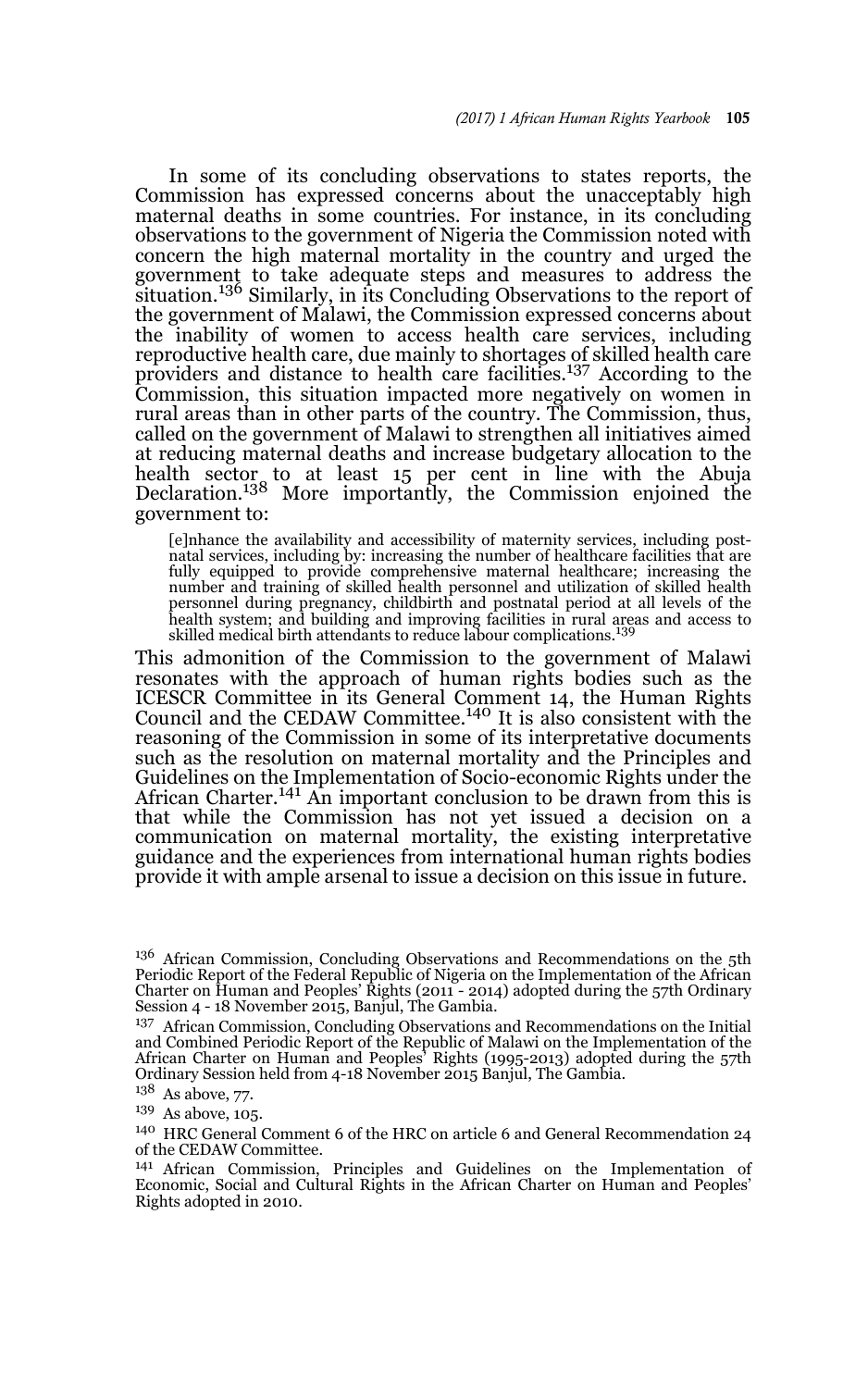In some of its concluding observations to states reports, the Commission has expressed concerns about the unacceptably high maternal deaths in some countries. For instance, in its concluding observations to the government of Nigeria the Commission noted with concern the high maternal mortality in the country and urged the government to take adequate steps and measures to address the situation.136 Similarly, in its Concluding Observations to the report of the government of Malawi, the Commission expressed concerns about the inability of women to access health care services, including reproductive health care, due mainly to shortages of skilled health care providers and distance to health care facilities.137 According to the Commission, this situation impacted more negatively on women in rural areas than in other parts of the country. The Commission, thus, called on the government of Malawi to strengthen all initiatives aimed at reducing maternal deaths and increase budgetary allocation to the health sector to at least 15 per cent in line with the Abuja Declaration.138 More importantly, the Commission enjoined the government to:

[e]nhance the availability and accessibility of maternity services, including postnatal services, including by: increasing the number of healthcare facilities that are fully equipped to provide comprehensive maternal healthcare; increasing the number and training of skilled health personnel and utilization of skilled health<br>personnel during pregnancy, childbirth and postnatal period at all levels of the<br>health system; and building and improving facilities in rur

This admonition of the Commission to the government of Malawi resonates with the approach of human rights bodies such as the ICESCR Committee in its General Comment 14, the Human Rights Council and the CEDAW Committee.140 It is also consistent with the reasoning of the Commission in some of its interpretative documents such as the resolution on maternal mortality and the Principles and Guidelines on the Implementation of Socio-economic Rights under the African Charter.<sup>141</sup> An important conclusion to be drawn from this is that while the Commission has not yet issued a decision on a communication on maternal mortality, the existing interpretative guidance and the experiences from international human rights bodies provide it with ample arsenal to issue a decision on this issue in future.

<sup>&</sup>lt;sup>136</sup> African Commission, Concluding Observations and Recommendations on the 5th Periodic Report of the Federal Republic of Nigeria on the Implementation of the African Charter on Human and Peoples' Rights (2011 - 2014) adopted during the 57th Ordinary Session 4 - 18 November 2015, Banjul, The Gambia.

<sup>&</sup>lt;sup>137</sup> African Commission, Concluding Observations and Recommendations on the Initial and Combined Periodic Report of the Republic of Malawi on the Implementation of the African Charter on Human and Peoples' Rights (1995-2013) adopted during the 57th Ordinary Session held from 4-18 November 2015 Banjul, The Gambia.

<sup>&</sup>lt;sup>138</sup> As above, 77.

<sup>139</sup> As above, 105.

<sup>140</sup> HRC General Comment 6 of the HRC on article 6 and General Recommendation 24 of the CEDAW Committee.

<sup>141</sup> African Commission, Principles and Guidelines on the Implementation of Economic, Social and Cultural Rights in the African Charter on Human and Peoples' Rights adopted in 2010.